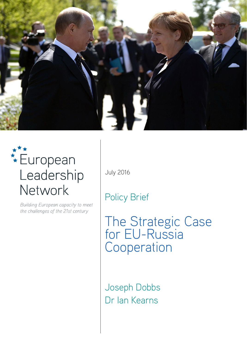

# **European** Leadership Network

Building European capacity to meet the challenges of the 21st century

July 2016

Policy Brief

The Strategic Case for EU-Russia Cooperation

Joseph Dobbs Dr Ian Kearns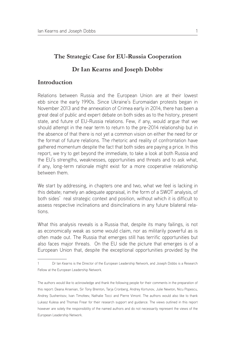# **The Strategic Case for EU-Russia Cooperation**

# **Dr Ian Kearns and Joseph Dobbs**<sup>1</sup>

## **Introduction**

Relations between Russia and the European Union are at their lowest ebb since the early 1990s. Since Ukraine's Euromaidan protests began in November 2013 and the annexation of Crimea early in 2014, there has been a great deal of public and expert debate on both sides as to the history, present state, and future of EU-Russia relations. Few, if any, would argue that we should attempt in the near term to return to the pre-2014 relationship but in the absence of that there is not yet a common vision on either the need for or the format of future relations. The rhetoric and reality of confrontation have gathered momentum despite the fact that both sides are paying a price. In this report, we try to get beyond the immediate, to take a look at both Russia and the EU's strengths, weaknesses, opportunities and threats and to ask what, if any, long-term rationale might exist for a more cooperative relationship between them.

We start by addressing, in chapters one and two, what we feel is lacking in this debate; namely an adequate appraisal, in the form of a SWOT analysis, of both sides' real strategic context and position, without which it is difficult to assess respective inclinations and disinclinations in any future bilateral relations.

What this analysis reveals is a Russia that, despite its many failings, is not as economically weak as some would claim, nor as militarily powerful as is often made out. The Russia that emerges still has terrific opportunities but also faces major threats. On the EU side the picture that emerges is of a European Union that, despite the exceptional opportunities provided by the

<sup>1</sup> Dr Ian Kearns is the Director of the European Leadership Network, and Joseph Dobbs is a Research Fellow at the European Leadership Network.

The authors would like to acknowledge and thank the following people for their comments in the preparation of this report: Deana Arsenian, Sir Tony Brenton, Tarja Cronberg, Andrey Kortunov, Julie Newton, Nicu Popescu, Andrey Sushentsov, Ivan Timofeev, Nathalie Tocci and Pierre Vimont. The authors would also like to thank Lukasz Kulesa and Thomas Frear for their research support and guidance. The views outlined in this report however are solely the responsibility of the named authors and do not necessarily represent the views of the European Leadership Network.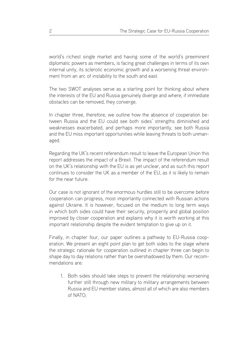world's richest single market and having some of the world's preeminent diplomatic powers as members, is facing great challenges in terms of its own internal unity, its sclerotic economic growth and a worsening threat environment from an arc of instability to the south and east.

The two SWOT analyses serve as a starting point for thinking about where the interests of the EU and Russia genuinely diverge and where, if immediate obstacles can be removed, they converge.

In chapter three, therefore, we outline how the absence of cooperation between Russia and the EU could see both sides' strengths diminished and weaknesses exacerbated, and perhaps more importantly, see both Russia and the EU miss important opportunities while leaving threats to both unmanaged.

Regarding the UK's recent referendum result to leave the European Union this report addresses the impact of a Brexit. The impact of the referendum result on the UK's relationship with the EU is as yet unclear, and as such this report continues to consider the UK as a member of the EU, as it is likely to remain for the near future.

Our case is not ignorant of the enormous hurdles still to be overcome before cooperation can progress, most importantly connected with Russian actions against Ukraine. It is however, focused on the medium to long term ways in which both sides could have their security, prosperity and global position improved by closer cooperation and explains why it is worth working at this important relationship despite the evident temptation to give up on it.

Finally, in chapter four, our paper outlines a pathway to EU-Russia cooperation. We present an eight point plan to get both sides to the stage where the strategic rationale for cooperation outlined in chapter three can begin to shape day to day relations rather than be overshadowed by them. Our recommendations are:

1. Both sides should take steps to prevent the relationship worsening further still through new military to military arrangements between Russia and EU member states, almost all of which are also members of NATO;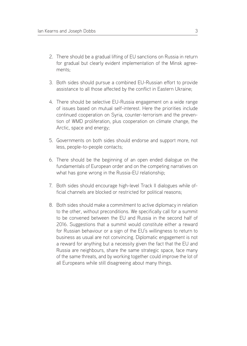- 2. There should be a gradual lifting of EU sanctions on Russia in return for gradual but clearly evident implementation of the Minsk agreements;
- 3. Both sides should pursue a combined EU-Russian effort to provide assistance to all those affected by the conflict in Eastern Ukraine;
- 4. There should be selective EU-Russia engagement on a wide range of issues based on mutual self-interest. Here the priorities include continued cooperation on Syria, counter-terrorism and the prevention of WMD proliferation, plus cooperation on climate change, the Arctic, space and energy;
- 5. Governments on both sides should endorse and support more, not less, people-to-people contacts;
- 6. There should be the beginning of an open ended dialogue on the fundamentals of European order and on the competing narratives on what has gone wrong in the Russia-EU relationship;
- 7. Both sides should encourage high-level Track II dialogues while official channels are blocked or restricted for political reasons;
- 8. Both sides should make a commitment to active diplomacy in relation to the other, without preconditions. We specifically call for a summit to be convened between the EU and Russia in the second half of 2016. Suggestions that a summit would constitute either a reward for Russian behaviour or a sign of the EU's willingness to return to business as usual are not convincing. Diplomatic engagement is not a reward for anything but a necessity given the fact that the EU and Russia are neighbours, share the same strategic space, face many of the same threats, and by working together could improve the lot of all Europeans while still disagreeing about many things.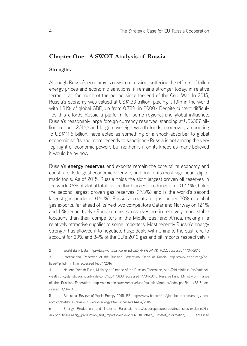## **Chapter One: A SWOT Analysis of Russia**

#### **Strengths**

Although Russia's economy is now in recession, suffering the effects of fallen energy prices and economic sanctions, it remains stronger today, in relative terms, than for much of the period since the end of the Cold War. In 2015, Russia's economy was valued at US\$1.33 trillion, placing it 13th in the world with 1.81% of global GDP, up from 0.78% in 2000.<sup>2</sup> Despite current difficulties this affords Russia a platform for some regional and global influence. Russia's reasonably large foreign currency reserves, standing at US\$387 billion in June 2016,<sup>3</sup> and large sovereign wealth funds, moreover, amounting to US\$111.6 billion, have acted as something of a shock-absorber to global economic shifts and more recently to sanctions.<sup>4</sup> Russia is not among the very top flight of economic powers but neither is it on its knees as many believed it would be by now.

Russia's **energy reserves** and exports remain the core of its economy and constitute its largest economic strength, and one of its most significant diplomatic tools. As of 2015, Russia holds the sixth largest proven oil reserves in the world (6% of global total), is the third largest producer of oil (12.4%), holds the second largest proven gas reserves (17.3%) and is the world's second largest gas producer (16.1%). Russia accounts for just under 20% of global gas exports, far ahead of its next two competitors Qatar and Norway on 12.1% and 11% respectively.<sup>5</sup> Russia's energy reserves are in relatively more stable locations than their competitors in the Middle East and Africa, making it a relatively attractive supplier to some importers. Most recently Russia's energy strength has allowed it to negotiate huge deals with China to the east, and to account for 39% and 34% of the EU's 2013 gas and oil imports respectively. <sup>6</sup>

<sup>2</sup> World Bank Data, http://data.worldbank.org/indicator/NY.GDP.MKTP.CD, accessed 14/04/2016

<sup>3</sup> International Reserves of the Russian Federation, Bank of Russia, http://www.cbr.ru/eng/hd\_ base/?prtid=mrrf\_m, accessed 14/04/2016

<sup>4</sup> National Wealth Fund, Ministry of Finance of the Russian Federation, http://old.minfin.ru/en/nationalwealthfund/statistics/amount/index.php?id\_4=5830, accessed 14/04/2016; Reserve Fund, Ministry of Finance of the Russian Federation, http://old.minfin.ru/en/reservefund/statistics/amount/index.php?id\_4=5817, accessed 14/04/2016

<sup>5</sup> Statistical Review of World Energy 2015, BP, http://www.bp.com/en/global/corporate/energy-economics/statistical-review-of-world-energy.html, accessed 14/04/2016

<sup>6</sup> Energy Production and Imports, Eurostat, http://ec.europa.eu/eurostat/statistics-explained/index.php?title=Energy\_production\_and\_imports&oldid=291870#Further\_Eurostat\_information, accessed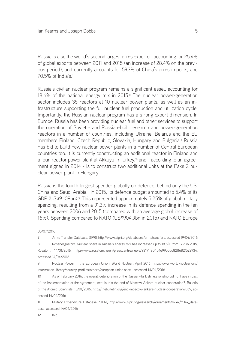Russia is also the world's second largest arms exporter, accounting for 25.4% of global exports between 2011 and 2015 (an increase of 28.4% on the previous period), and currently accounts for 59.3% of China's arms imports, and 70.5% of India's.7

Russia's civilian nuclear program remains a significant asset, accounting for 18.6% of the national energy mix in 2015.<sup>8</sup> The nuclear power-generation sector includes 35 reactors at 10 nuclear power plants, as well as an infrastructure supporting the full nuclear fuel production and utilization cycle. Importantly, the Russian nuclear program has a strong export dimension. In Europe, Russia has been providing nuclear fuel and other services to support the operation of Soviet - and Russian-built research and power-generation reactors in a number of countries, including Ukraine, Belarus and the EU members Finland, Czech Republic, Slovakia, Hungary and Bulgaria.<sup>9</sup> Russia has bid to build new nuclear power plants in a number of Central European countries too. It is currently constructing an additional reactor in Finland and a four-reactor power plant at Akkuyu in Turkey,<sup>10</sup> and - according to an agreement signed in 2014 - is to construct two additional units at the Paks 2 nuclear power plant in Hungary.

Russia is the fourth largest spender globally on defence, behind only the US, China and Saudi Arabia.11 In 2015, its defence budget amounted to 5.4% of its GDP (US\$91.08bn).<sup>12</sup> This represented approximately 5.25% of global military spending, resulting from a 91.3% increase in its defence spending in the ten years between 2006 and 2015 (compared with an average global increase of 16%). Spending compared to NATO (US\$904.9bn in 2015) and NATO Europe

11 Military Expenditure Database, SIPRI, http://www.sipri.org/research/armaments/milex/milex\_database, accessed 14/04/2016

12 Ibid.

<sup>05/07/2016</sup>

<sup>7</sup> Arms Transfer Database, SIPRI, http://www.sipri.org/databases/armstransfers, accessed 19/04/2016

<sup>8</sup> Rosenergoatom: Nuclear share in Russia's energy mix has increased up to 18.6% from 17.2 in 2015, Rosatom, 14/01/2016, http://www.rosatom.ru/en/presscentre/news/73171f804b4e9955bd82ff682f572934, accessed 14/04/2016

<sup>9</sup> Nuclear Power in the European Union, World Nuclear, April 2016, http://www.world-nuclear.org/ information-library/country-profiles/others/european-union.aspx, accessed 14/04/2016

<sup>10</sup> As of February 2016, the overall deterioration of the Russian-Turkish relationship did not have impact of the implementation of the agreement, see: Is this the end of Moscow-Ankara nuclear cooperation?, Bulletin of the Atomic Scientists, 13/01/2016, http://thebulletin.org/end-moscow-ankara-nuclear-cooperation9059, accessed 14/04/2016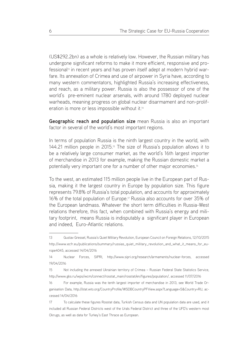(US\$292.2bn) as a whole is relatively low. However, the Russian military has undergone significant reforms to make it more efficient, responsive and professional<sup>13</sup> in recent years and has proven itself adept at modern hybrid warfare. Its annexation of Crimea and use of airpower in Syria have, according to many western commentators, highlighted Russia's increasing effectiveness, and reach, as a military power. Russia is also the possessor of one of the world's pre-eminent nuclear arsenals, with around 1780 deployed nuclear warheads, meaning progress on global nuclear disarmament and non-proliferation is more or less impossible without it.<sup>14</sup>

**Geographic reach and population size** mean Russia is also an important factor in several of the world's most important regions.

In terms of population Russia is the ninth largest country in the world, with 144.21 million people in 2015.15 The size of Russia's population allows it to be a relatively large consumer market, as the world's 16th largest importer of merchandise in 2013 for example, making the Russian domestic market a potentially very important one for a number of other major economies.16

To the west, an estimated 115 million people live in the European part of Russia, making it the largest country in Europe by population size. This figure represents 79.8% of Russia's total population, and accounts for approximately 16% of the total population of Europe.<sup>17</sup> Russia also accounts for over 35% of the European landmass. Whatever the short term difficulties in Russia-West relations therefore, this fact, when combined with Russia's energy and military footprint, means Russia is indisputably a significant player in European and indeed, Euro-Atlantic relations.

<sup>13</sup> Gustav Gressel, Russia's Quiet Military Revolution, European Council on Foreign Relations, 12/10/2015 http://www.ecfr.eu/publications/summary/russias\_quiet\_military\_revolution\_and\_what\_it\_means\_for\_europe4045, accessed 14/04/2016

<sup>14</sup> Nuclear Forces, SIPRI, http://www.sipri.org/research/armaments/nuclear-forces, accessed 19/04/2016

<sup>15</sup> Not including the annexed Ukrainian territory of Crimea – Russian Federal State Statistics Service, http://www.gks.ru/wps/wcm/connect/rosstat\_main/rosstat/en/figures/population/, accessed 11/07/2016

<sup>16</sup> For example, Russia was the tenth largest importer of merchandise in 2013, see World Trade Organisation Data, http://stat.wto.org/CountryProfile/WSDBCountryPFView.aspx?Language=S&Country=RU, accessed 14/04/2016

<sup>17</sup> To calculate these figures Rosstat data, Turkish Census data and UN population data are used, and it included all Russian Federal Districts west of the Urals Federal District and three of the UFD's western most Okrugs, as well as data for Turkey's East Thrace as European.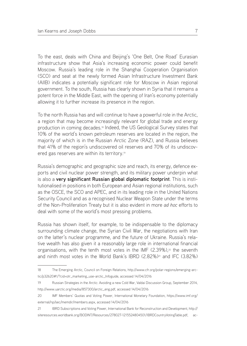To the east, deals with China and Beijing's 'One Belt, One Road' Eurasian infrastructure show that Asia's increasing economic power could benefit Moscow. Russia's leading role in the Shanghai Cooperation Organisation (SCO) and seat at the newly formed Asian Infrastructure Investment Bank (AIIB) indicates a potentially significant role for Moscow in Asian regional government. To the south, Russia has clearly shown in Syria that it remains a potent force in the Middle East, with the opening of Iran's economy potentially allowing it to further increase its presence in the region.

To the north Russia has and will continue to have a powerful role in the Arctic, a region that may become increasingly relevant for global trade and energy production in coming decades.18 Indeed, the US Geological Survey states that 10% of the world's known petroleum reserves are located in the region, the majority of which is in the Russian Arctic Zone (RAZ), and Russia believes that 41% of the region's undiscovered oil reserves and 70% of its undiscovered gas reserves are within its territory.19

Russia's demographic and geographic size and reach, its energy, defence exports and civil nuclear power strength, and its military power underpin what is also a **very significant Russian global diplomatic footprint**. This is institutionalised in positions in both European and Asian regional institutions, such as the OSCE, the SCO and APEC, and in its leading role in the United Nations Security Council and as a recognised Nuclear Weapon State under the terms of the Non-Proliferation Treaty but it is also evident in more *ad hoc* efforts to deal with some of the world's most pressing problems.

Russia has shown itself, for example, to be indispensable to the diplomacy surrounding climate change, the Syrian Civil War, the negotiations with Iran on the latter's nuclear programme, and the future of Ukraine. Russia's relative wealth has also given it a reasonably large role in international financial organisations, with the tenth most votes in the IMF  $(2.39\%)$ ,<sup>20</sup> the seventh and ninth most votes in the World Bank's IBRD  $(2.82\%)$ <sup>21</sup> and IFC  $(3.82\%)$ 

21 IBRD Subscriptions and Voting Power, International Bank for Reconstruction and Development, http:// siteresources.worldbank.org/BODINT/Resources/278027-1215524804501/IBRDCountryVotingTable.pdf, ac-

<sup>18</sup> The Emerging Arctic, Council on Foreign Relations, http://www.cfr.org/polar-regions/emerging-arctic/p32620#!/?cid=otr\_marketing\_use-arctic\_Infoguide, accessed 14/04/2016

<sup>19</sup> Russian Strategies in the Arctic: Avoiding a new Cold War, Valdai Discussion Group, September 2014, http://www.uarctic.org/media/857300/arctic\_eng.pdf, accessed 14/04/2016

<sup>20</sup> IMF Members' Quotas and Voting Power, International Monetary Foundation, https://www.imf.org/ external/np/sec/memdir/members.aspx, accessed 14/04/2016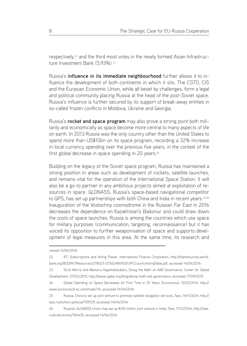respectively,<sup>22</sup> and the third most votes in the newly formed Asian Infrastructure Investment Bank (5.93%)<sup>23</sup>

Russia's **influence in its immediate neighbourhood** further allows it to influence the development of both continents in which it sits. The CSTO, CIS and the Eurasian Economic Union, while all beset by challenges, form a legal and political community placing Russia at the head of the post-Soviet space. Russia's influence is further secured by its support of break-away entities in so-called frozen conflicts in Moldova, Ukraine and Georgia.

Russia's **rocket and space program** may also prove a strong point both militarily and economically as space become more central to many aspects of life on earth. In 2013 Russia was the only country other than the United States to spend more than US\$10bn on its space program, recording a 32% increase in local currency spending over the previous five years, in the context of the first global decrease in space spending in 20 years.<sup>24</sup>

Building on the legacy of the Soviet space program, Russia has maintained a strong position in areas such as development of rockets, satellite launches, and remains vital for the operation of the International Space Station. It will also be a go-to partner in any ambitious projects aimed at exploitation of resources in space. GLONASS, Russia's space-based navigational competitor to GPS, has set up partnerships with both China and India in recent years.<sup>25/26</sup> Inauguration of the Vostochny cosmodrome in the Russian Far East in 2016 decreases the dependence on Kazakhstan's Baikonur and could draw down the costs of space launches. Russia is among the countries which use space for military purposes (communication, targeting, reconnaissance) but it has voiced its opposition to further weaponisation of space and supports development of legal measures in this area. At the same time, its research and

cessed 14/04/2016

<sup>22</sup> IFC Subscriptions and Voting Power, International Finance Corporation, http://siteresources.worldbank.org/BODINT/Resources/278027-1215524804501/IFCCountryVotingTable.pdf, accessed 14/04/2016

<sup>23</sup> Scott Morris and Mamoru Higashikokubaru, Doing the Math on AIIB Governance, Center for Global Development, 07/02/2015, http://www.cgdev.org/blog/doing-math-aiib-governance, accessed 17/09/2015

<sup>24</sup> Global Spending on Space Decreases for First Time in 20 Years, Euroconsult, 13/02/2014, http:// www.euroconsult-ec.com/node/141, accessed 14/04/2016

<sup>25</sup> Russia, China to set up joint venture to promote satellite navigation services, Tass, 14/11/2014, http:// tass.ru/en/non-political/759729, accessed 14/04/2016

<sup>26</sup> Russia's GLONASS Union may set up \$100 million joint venture in India, Tass, 11/12/2016, http://tass. ru/en/economy/766435, accessed 14/04/2016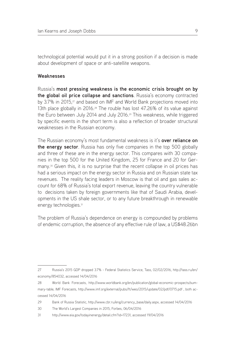technological potential would put it in a strong position if a decision is made about development of space or anti-satellite weapons.

#### **Weaknesses**

Russia's **most pressing weakness is the economic crisis brought on by the global oil price collapse and sanctions**. Russia's economy contracted by 3.7% in 2015,<sup>27</sup> and based on IMF and World Bank projections moved into 13th place globally in 2016.<sup>28</sup> The rouble has lost 47.26% of its value against the Euro between July 2014 and July 2016.29 This weakness, while triggered by specific events in the short term is also a reflection of broader structural weaknesses in the Russian economy.

The Russian economy's most fundamental weakness is it's **over reliance on the energy sector**. Russia has only five companies in the top 500 globally and three of these are in the energy sector. This compares with 30 companies in the top 500 for the United Kingdom, 25 for France and 20 for Germany.30 Given this, it is no surprise that the recent collapse in oil prices has had a serious impact on the energy sector in Russia and on Russian state tax revenues. The reality facing leaders in Moscow is that oil and gas sales account for 68% of Russia's total export revenue, leaving the country vulnerable to decisions taken by foreign governments like that of Saudi Arabia, developments in the US shale sector, or to any future breakthrough in renewable energy technologies.<sup>31</sup>

The problem of Russia's dependence on energy is compounded by problems of endemic corruption, the absence of any effective rule of law, a US\$48.26bn

<sup>27</sup> Russia's 2015 GDP dropped 3.7% - Federal Statistics Service, Tass, 02/02/2016, http://tass.ru/en/ economy/854032, accessed 14/04/2016

<sup>28</sup> World Bank Forecasts, http://www.worldbank.org/en/publication/global-economic-prospects/summary-table; IMF Forecasts, http://www.imf.org/external/pubs/ft/weo/2015/update/02/pdf/0715.pdf , both accessed 14/04/2016

<sup>29</sup> Bank of Russia Statistic, http://www.cbr.ru/eng/currency\_base/daily.aspx, accessed 14/04/2016

<sup>30</sup> The World's Largest Companies in 2015, Forbes, 06/04/2016

<sup>31</sup> http://www.eia.gov/todayinenergy/detail.cfm?id=17231, accessed 19/04/2016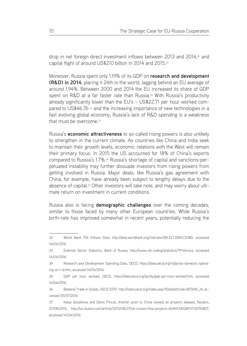drop in net foreign direct investment inflows between 2013 and 2014,32 and capital flight of around US\$210 billion in 2014 and 2015.<sup>33</sup>

Moreover, Russia spent only 1.19% of its GDP on **research and development (R&D) in 2014**, placing it 24th in the world, lagging behind an EU average of around 1.94%. Between 2000 and 2014 the EU increased its share of GDP spent on R&D at a far faster rate than Russia.<sup>34</sup> With Russia's productivity already significantly lower than the EU's – US\$22.71 per hour worked compared to US\$46.76 – and the increasing importance of new technologies in a fast evolving global economy, Russia's lack of R&D spending is a weakness that must be overcome.<sup>35</sup>

Russia's **economic attractiveness** to so-called rising powers is also unlikely to strengthen in the current climate. As countries like China and India seek to maintain their growth levels, economic relations with the West will remain their primary focus. In 2015 the US accounted for 18% of China's exports compared to Russia's 1.7%.36 Russia's shortage of capital and sanctions-perpetuated instability may further dissuade investors from rising powers from getting involved in Russia. Major deals, like Russia's gas agreement with China, for example, have already been subject to lengthy delays due to the absence of capital.<sup>37</sup> Other investors will take note, and may worry about ultimate return on investment in current conditions.

Russia also is facing **demographic challenges** over the coming decades, similar to those faced by many other European countries. While Russia's birth-rate has improved somewhat in recent years, potentially reducing the

<sup>32</sup> World Bank FDI Inflows Data, http://data.worldbank.org/indicator/BX.KLT.DINV.CD.WD, accessed 14/04/2016

<sup>33</sup> External Sector Statistics, Bank of Russia, http://www.cbr.ru/eng/statistics/?PrtId=svs, accessed 14/04/2016

<sup>34</sup> Research and Development Spending Data, OECD, https://data.oecd.org/rd/gross-domestic-spending-on-r-d.htm, accessed 14/04/2016

<sup>35</sup> GDP per hour worked, OECD, https://data.oecd.org/lprdty/gdp-per-hour-worked.htm, accessed 14/04/2016

<sup>36</sup> Bilateral Trade in Goods, OECD STAT, http://stats.oecd.org/Index.aspx?DataSetCode=BTDIXE\_I4, accessed 05/07/2016

<sup>37</sup> Katya Golubkova and Denis Pincuk, Kremlin pivot to China slowed as projects delayed, Reuters, 27/08/2015, http://uk.reuters.com/article/2015/08/27/uk-russia-china-projects-idUKKCN0QW15T20150827, accessed 14/04/2016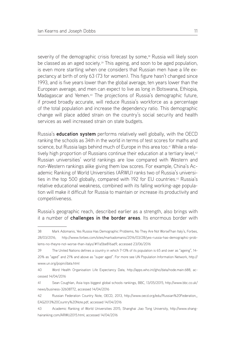severity of the demographic crisis forecast by some,<sup>38</sup> Russia will likely soon be classed as an aged society.39 This ageing, and soon to be aged population, is even more startling when one considers that Russian men have a life expectancy at birth of only 63 (73 for women). This figure hasn't changed since 1993, and is five years lower than the global average, ten years lower than the European average, and men can expect to live as long in Botswana, Ethiopia, Madagascar and Yemen.40 The projections of Russia's demographic future, if proved broadly accurate, will reduce Russia's workforce as a percentage of the total population and increase the dependency ratio. This demographic change will place added strain on the country's social security and health services as well increased strain on state budgets.

Russia's **education system** performs relatively well globally, with the OECD ranking the schools as 34th in the world in terms of test scores for maths and science, but Russia lags behind much of Europe in this area too.<sup>41</sup> While a relatively high proportion of Russians continue their education at a tertiary level,<sup>42</sup> Russian universities' world rankings are low compared with Western and non-Western rankings alike giving them low scores. For example, China's Academic Ranking of World Universities (ARWU) ranks two of Russia's universities in the top 500 globally, compared with 192 for EU countries.43 Russia's relative educational weakness, combined with its falling working-age population will make it difficult for Russia to maintain or increase its productivity and competitiveness.

Russia's geographic reach, described earlier as a strength, also brings with it a number of **challenges in the border areas**. Its enormous border with

<sup>38</sup> Mark Adomanis, Yes Russia Has Demographic Problems, No They Are Not WorseThan Italy's, Forbes, 28/03/2016, http://www.forbes.com/sites/markadomanis/2016/03/28/yes-russia-has-demographic-problems-no-theyre-not-worse-than-italys/#11a5be816ad9, accessed 23/06/2016

<sup>39</sup> The United Nations defines a country in which 7-13% of its population is 65 and over as "ageing", 14- 20% as "aged" and 21% and above as "super aged". For more see UN Population Information Network, http:// www.un.org/popin/data.html

<sup>40</sup> Word Health Organisation Life Expectancy Data, http://apps.who.int/gho/data/node.main.688, accessed 14/04/2016

<sup>41</sup> Sean Coughlan, Asia tops biggest global schools rankings, BBC, 13/05/2015, http://www.bbc.co.uk/ news/business-32608772, accessed 14/04/2016

<sup>42</sup> Russian Federation Country Note, OECD, 2013, http://www.oecd.org/edu/Russian%20Federation\_ EAG2013%20Country%20Note.pdf, accessed 14/04/2016

<sup>43</sup> Academic Ranking of World Universities 2015, Shanghai Jiao Tong University, http://www.shanghairanking.com/ARWU2015.html, accessed 14/04/2016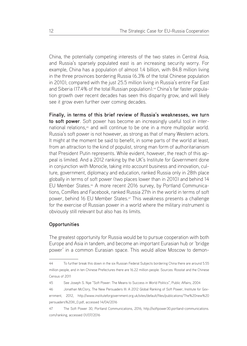China, the potentially competing interests of the two states in Central Asia, and Russia's sparsely populated east is an increasing security worry. For example, China has a population of almost 1.4 billion, with 84.8 million living in the three provinces bordering Russia (6.3% of the total Chinese population in 2010), compared with the just 25.5 million living in Russia's entire Far East and Siberia (17.4% of the total Russian population).<sup>44</sup> China's far faster population growth over recent decades has seen this disparity grow, and will likely see it grow even further over coming decades.

**Finally, in terms of this brief review of Russia's weaknesses, we turn to soft power**. Soft power has become an increasingly useful tool in international relations,45 and will continue to be one in a more multipolar world. Russia's soft power is not however, as strong as that of many Western actors. It might at the moment be said to benefit, in some parts of the world at least, from an attraction to the kind of populist, strong man form of authoritarianism that President Putin represents. While evident, however, the reach of this appeal is limited. And a 2012 ranking by the UK's Institute for Government done in conjunction with Monocle, taking into account business and innovation, culture, government, diplomacy and education, ranked Russia only in 28th place globally in terms of soft power (two places lower than in 2010) and behind 14 EU Member States.46 A more recent 2016 survey, by Portland Communications, ComRes and Facebook, ranked Russia 27th in the world in terms of soft power, behind 16 EU Member States.<sup>47</sup> This weakness presents a challenge for the exercise of Russian power in a world where the military instrument is obviously still relevant but also has its limits.

#### **Opportunities**

The greatest opportunity for Russia would be to pursue cooperation with both Europe and Asia in tandem, and become an important Eurasian hub or 'bridge power' in a common Eurasian space. This would allow Moscow to demon-

<sup>44</sup> To further break this down in the six Russian Federal Subjects bordering China there are around 5.55 million people, and in ten Chinese Prefectures there are 16.22 million people. Sources: Rosstat and the Chinese Census of 2011

<sup>45</sup> See Joseph S. Nye "Soft Power: The Means to Success in World Politics", Public Affairs, 2004

<sup>46</sup> Jonathan McClory, The New Persuaders III: A 2012 Global Ranking of Soft Power, Institute for Government, 2012, http://www.instituteforgovernment.org.uk/sites/default/files/publications/The%20new%20 persuaders%20III\_0.pdf, accessed 14/04/2016

<sup>47</sup> The Soft Power 30, Portland Communications, 2016, http://softpower30.portland-communications. com/ranking, accessed 01/07/2016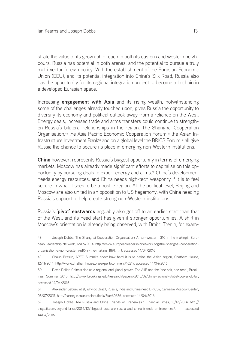strate the value of its geographic reach to both its eastern and western neighbours. Russia has potential in both arenas, and the potential to pursue a truly multi-vector foreign policy. With the establishment of the Eurasian Economic Union (EEU), and its potential integration into China's Silk Road, Russia also has the opportunity for its regional integration project to become a linchpin in a developed Eurasian space.

Increasing **engagement with Asia** and its rising wealth, notwithstanding some of the challenges already touched upon, gives Russia the opportunity to diversify its economy and political outlook away from a reliance on the West. Energy deals, increased trade and arms transfers could continue to strengthen Russia's bilateral relationships in the region. The Shanghai Cooperation Organisation,<sup>48</sup> the Asia Pacific Economic Cooperation Forum,<sup>49</sup> the Asian Infrastructure Investment Bank<sup>50</sup> and on a global level the BRICS Forum,<sup>51</sup> all give Russia the chance to secure its place in emerging non-Western institutions.

**China** however, represents Russia's biggest opportunity in terms of emerging markets. Moscow has already made significant efforts to capitalise on this opportunity by pursuing deals to export energy and arms.52 China's development needs energy resources, and China needs high-tech weaponry if it is to feel secure in what it sees to be a hostile region. At the political level, Beijing and Moscow are also united in an opposition to US hegemony, with China needing Russia's support to help create strong non-Western institutions.

Russia's **'pivot' eastwards** arguably also got off to an earlier start than that of the West, and its head start has given it stronger opportunities. A shift in Moscow's orientation is already being observed, with Dmitri Trenin, for exam-

<sup>48</sup> Joseph Dobbs, The Shanghai Cooperation Organisation: A non-western G10 in the making?, European Leadership Network, 12/09/2014, http://www.europeanleadershipnetwork.org/the-shanghai-cooperationorganisation-a-non-western-g10-in-the-making\_1891.html, accessed 14/04/2016

<sup>49</sup> Shaun Breslin, APEC Summits show how hard it is to define the Asian region, Chatham House, 12/11/2014, http://www.chathamhouse.org/expert/comment/16217, accessed 14/04/2016

<sup>50</sup> David Dollar, China's rise as a regional and global power: The AIIB and the 'one belt, one road', Brookings, Summer 2015, http://www.brookings.edu/research/papers/2015/07/china-regional-global-power-dollar, accessed 14/04/2016

<sup>51</sup> Alexander Gabuev et al, Why do Brazil, Russia, India and China need BRICS?, Carnegie Moscow Center, 08/07/2015, http://carnegie.ru/eurasiaoutlook/?fa=60636, accessed 14/04/2016

<sup>52</sup> Joseph Dobbs, Are Russia and China Friends or Frenemies?, Financial Times, 10/12/2014, http:// blogs.ft.com/beyond-brics/2014/12/11/guest-post-are-russia-and-china-friends-or-frenemies/, accessed 14/04/2016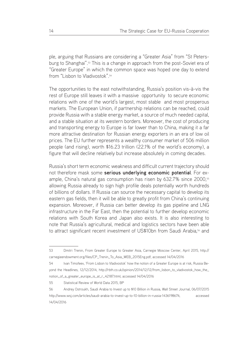ple, arguing that Russians are considering a "Greater Asia" from "St Petersburg to Shanghai".53 This is a change in approach from the post-Soviet era of "Greater Europe" in which the common space was hoped one day to extend from "Lisbon to Vladivostok".54

The opportunities to the east notwithstanding, Russia's position vis-à-vis the rest of Europe still leaves it with a massive opportunity to secure economic relations with one of the world's largest, most stable and most prosperous markets. The European Union, if partnership relations can be reached, could provide Russia with a stable energy market, a source of much needed capital, and a stable situation at its western borders. Moreover, the cost of producing and transporting energy to Europe is far lower than to China, making it a far more attractive destination for Russian energy exporters in an era of low oil prices. The EU further represents a wealthy consumer market of 506 million people (and rising), worth \$16.23 trillion (22.1% of the world's economy), a figure that will decline relatively but increase absolutely in coming decades.

Russia's short term economic weakness and difficult current trajectory should not therefore mask some **serious underlying economic potential**. For example, China's natural gas consumption has risen by 632.7% since 2000,<sup>55</sup> allowing Russia already to sign high profile deals potentially worth hundreds of billions of dollars. If Russia can source the necessary capital to develop its eastern gas fields, then it will be able to greatly profit from China's continuing expansion. Moreover, if Russia can better develop its gas pipeline and LNG infrastructure in the Far East, then the potential to further develop economic relations with South Korea and Japan also exists. It is also interesting to note that Russia's agricultural, medical and logistics sectors have been able to attract significant recent investment of US\$10bn from Saudi Arabia,<sup>56</sup> and

55 Statistical Review of World Data 2015, BP

<sup>53</sup> Dmitri Trenin, From Greater Europe to Greater Asia, Carnegie Moscow Center, April 2015, http:// carnegieendowment.org/files/CP\_Trenin\_To\_Asia\_WEB\_2015Eng.pdf, accessed 14/04/2016

<sup>54</sup> Ivan Timofeev, 'From Lisbon to Vladivostok' how the notion of a Greater Europe is at risk, Russia Beyond the Headlines, 12/12/2014, http://rbth.co.uk/opinion/2014/12/12/from\_lisbon\_to\_vladivostok\_how\_the\_ notion\_of\_a\_greater\_europe\_is\_at\_r\_42187.html, accessed 14/04/2016

<sup>56</sup> Andrey Ostroukh, Saudi Arabia to Invest up to \$10 Billion in Russia, Wall Street Journal, 06/07/2015 http://www.wsj.com/articles/saudi-arabia-to-invest-up-to-10-billion-in-russia-1436198674, accessed 14/04/2016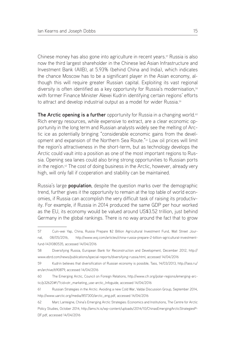Chinese money has also gone into agriculture in recent years.57 Russia is also now the third largest shareholder in the Chinese led Asian Infrastructure and Investment Bank (AIIB), at 5.93% (behind China and India), which indicates the chance Moscow has to be a significant player in the Asian economy, although this will require greater Russian capital. Exploiting its vast regional diversity is often identified as a key opportunity for Russia's modernisation,<sup>58</sup> with former Finance Minister Alexei Kudrin identifying certain regions' efforts to attract and develop industrial output as a model for wider Russia.<sup>59</sup>

**The Arctic opening is a further** opportunity for Russia in a changing world.<sup>60</sup> Rich energy resources, while expensive to extract, are a clear economic opportunity in the long term and Russian analysts widely see the melting of Arctic ice as potentially bringing "considerable economic gains from the development and expansion of the Northern Sea Route."61 Low oil prices will limit the region's attractiveness in the short-term, but as technology develops the Arctic could vault into a position as one of the most important regions to Russia. Opening sea lanes could also bring strong opportunities to Russian ports in the region.<sup> $62$ </sup> The cost of doing business in the Arctic, however, already very high, will only fall if cooperation and stability can be maintained.

Russia's large **population**, despite the question marks over the demographic trend, further gives it the opportunity to remain at the top table of world economies, if Russia can accomplish the very difficult task of raising its productivity. For example, if Russia in 2014 produced the same GDP per hour worked as the EU, its economy would be valued around US\$3.52 trillion, just behind Germany in the global rankings. There is no way around the fact that to grow

<sup>57</sup> Cuin-wei Yap, China, Russia Prepare \$2 Billion Agricultural Investment Fund, Wall Street Journal, 08/05/2016, http://www.wsj.com/articles/china-russia-prepare-2-billion-agricultural-investmentfund-1431080535, accessed 14/04/2016

<sup>58</sup> Diversifying Russia, European Bank for Reconstruction and Development, December 2012, http:// www.ebrd.com/news/publications/special-reports/diversifying-russia.html, accessed 14/04/2016

<sup>59</sup> Kudrin believes that diversification of Russian economy is possible, Tass, 14/03/2013, http://tass.ru/ en/archive/690879, accessed 14/04/2016

<sup>60</sup> The Emerging Arctic, Council on Foreign Relations, http://www.cfr.org/polar-regions/emerging-arctic/p32620#!/?cid=otr\_marketing\_use-arctic\_Infoguide, accessed 14/04/2016

<sup>61</sup> Russian Strategies in the Arctic: Avoiding a new Cold War, Valdai Discussion Group, September 2014, http://www.uarctic.org/media/857300/arctic\_eng.pdf, accessed 14/04/2016

<sup>62</sup> Marc Lanteigne, China's Emerging Arctic Strategies: Economics and Institutions, The Centre for Arctic Policy Studies, October 2014, http://ams.hi.is/wp-content/uploads/2014/10/ChinasEmergingArcticStrategiesP-DF.pdf, accessed 14/04/2016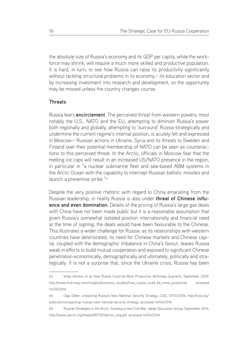the absolute size of Russia's economy and its GDP per capita, while the workforce may shrink, will require a much more skilled and productive population. It is hard, in turn, to see how Russia can raise its productivity significantly without tackling structural problems in its economy,<sup>63</sup> its education sector and by increasing investment into research and development, so the opportunity may be missed unless the country changes course.

#### **Threats**

Russia fears **encirclement**. The perceived threat from western powers, most notably the U.S., NATO and the EU, attempting to diminish Russia's power both regionally and globally, attempting to 'surround' Russia strategically and undermine the current regime's internal position, is acutely felt and expressed in Moscow.64 Russian actions in Ukraine, Syria and its threats to Sweden and Finland over their potential membership of NATO can be seen as counteractions to this perceived threat. In the Arctic, officials in Moscow fear that the melting ice caps will result in an increased US/NATO presence in the region, in particular in "a nuclear submarine fleet and sea-based ABM systems in the Arctic Ocean with the capability to intercept Russian ballistic missiles and launch a preventive strike."<sup>65</sup>

Despite the very positive rhetoric with regard to China emanating from the Russian leadership, in reality Russia is also under **threat of Chinese influence and even domination**. Details of the pricing of Russia's large gas deals with China have not been made public but it is a reasonable assumption that given Russia's somewhat isolated position internationally and financial need at the time of signing, the deals would have been favourable to the Chinese. This illustrates a wider challenge for Russia: as its relationships with western countries have deteriorated, its need for Chinese markets and Chinese capital, coupled with the demographic imbalance in China's favour, leaves Russia weak in efforts to build mutual cooperation and exposed to significant Chinese penetration economically, demographically and ultimately, politically and strategically. It is not a surprise that, since the Ukraine crisis, Russia has been

<sup>63</sup> Vitaly Klintsov et al, How Russia Could be More Productive, McKinsey Quarterly, September 2009, http://www.mckinsey.com/insights/economic\_studies/how\_russia\_could\_be\_more\_productive, accessed 14/04/2016

<sup>64</sup> Olga Oliker, Unpacking Russia's New National Security Strategy, CSIS, 07/01/2016, http://csis.org/ publication/unpacking-russias-new-national-security-strategy, accessed 14/04/2016

<sup>65</sup> Russian Strategies in the Arctic: Avoiding a new Cold War, Valdai Discussion Group, September 2014, http://www.uarctic.org/media/857300/arctic\_eng.pdf, accessed 14/04/2016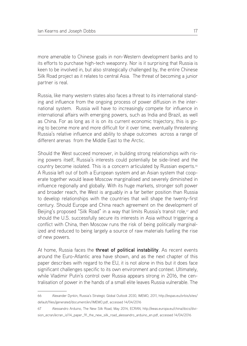more amenable to Chinese goals in non-Western development banks and to its efforts to purchase high-tech weaponry. Nor is it surprising that Russia is keen to be involved in, but also strategically challenged by, the entire Chinese Silk Road project as it relates to central Asia. The threat of becoming a junior partner is real.

Russia, like many western states also faces a threat to its international standing and influence from the ongoing process of power diffusion in the international system. Russia will have to increasingly compete for influence in international affairs with emerging powers, such as India and Brazil, as well as China. For as long as it is on its current economic trajectory, this is going to become more and more difficult for it over time, eventually threatening Russia's relative influence and ability to shape outcomes across a range of different arenas from the Middle East to the Arctic.

Should the West succeed moreover, in building strong relationships with rising powers itself, Russia's interests could potentially be side-lined and the country become isolated. This is a concern articulated by Russian experts.<sup>66</sup> A Russia left out of both a European system and an Asian system that cooperate together would leave Moscow marginalised and severely diminished in influence regionally and globally. With its huge markets, stronger soft power and broader reach, the West is arguably in a far better position than Russia to develop relationships with the countries that will shape the twenty-first century. Should Europe and China reach agreement on the development of Beijing's proposed "Silk Road" in a way that limits Russia's transit role,<sup>67</sup> and should the U.S. successfully secure its interests in Asia without triggering a conflict with China, then Moscow runs the risk of being politically marginalized and reduced to being largely a source of raw materials fuelling the rise of new powers.

At home, Russia faces the **threat of political instability**. As recent events around the Euro-Atlantic area have shown, and as the next chapter of this paper describes with regard to the EU, it is not alone in this but it does face significant challenges specific to its own environment and context. Ultimately, while Vladimir Putin's control over Russia appears strong in 2016, the centralisation of power in the hands of a small elite leaves Russia vulnerable. The

<sup>66</sup> Alexander Dynkin, Russia's Strategic Global Outlook 2030, IMEMO, 2011, http://espas.eu/orbis/sites/ default/files/generated/document/en/IMEMO.pdf, accessed 14/04/2016

<sup>67</sup> Alessandro Arduino, The New Silk Road, May 2014, ECRAN, http://eeas.europa.eu/china/docs/division\_ecran/ecran\_is114\_paper\_91\_the\_new\_silk\_road\_alessandro\_arduino\_en.pdf, accessed 14/04/2016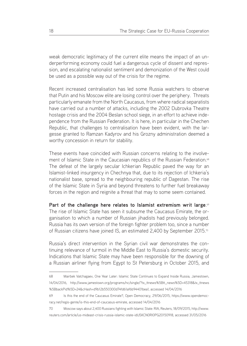weak democratic legitimacy of the current elite means the impact of an underperforming economy could fuel a dangerous cycle of dissent and repression, and escalating nationalist sentiment and demonization of the West could be used as a possible way out of the crisis for the regime.

Recent increased centralisation has led some Russia watchers to observe that Putin and his Moscow elite are losing control over the periphery. Threats particularly emanate from the North Caucasus, from where radical separatists have carried out a number of attacks, including the 2002 Dubrovka Theatre hostage crisis and the 2004 Beslan school siege, in an effort to achieve independence from the Russian Federation. It is here, in particular in the Chechen Republic, that challenges to centralisation have been evident, with the largesse granted to Ramzan Kadyrov and his Grozny administration deemed a worthy concession in return for stability.

These events have coincided with Russian concerns relating to the involvement of Islamic State in the Caucasian republics of the Russian Federation.<sup>68</sup> The defeat of the largely secular Ichkerian Republic paved the way for an Islamist-linked insurgency in Chechnya that, due to its rejection of Ichkeria's nationalist base, spread to the neighbouring republic of Dagestan. The rise of the Islamic State in Syria and beyond threatens to further fuel breakaway forces in the region and reignite a threat that may to some seem contained.

**Part of the challenge here relates to Islamist extremism writ large**. 69 The rise of Islamic State has seen it subsume the Caucasus Emirate, the organisation to which a number of Russian jihadists had previously belonged. Russia has its own version of the foreign fighter problem too, since a number of Russian citizens have joined IS, an estimated 2,400 by September 2015.<sup>70</sup>

Russia's direct intervention in the Syrian civil war demonstrates the continuing relevance of turmoil in the Middle East to Russia's domestic security. Indications that Islamic State may have been responsible for the downing of a Russian airliner flying from Egypt to St Petersburg in October 2015, and

<sup>68</sup> Mairbek Vatchagaev, One Year Later: Islamic State Continues to Expand Inside Russia, Jamestown, 14/04/2016, http://www.jamestown.org/programs/nc/single/?tx\_ttnews%5Btt\_news%5D=45318&tx\_ttnews %5BbackPid%5D=24&cHash=d9b12b550300d74fd61af6b94401bea1, accessed 14/04/2016

<sup>69</sup> Is this the end of the Caucasus Emirate?, Open Democracy, 29/06/2015, https://www.opendemocracy.net/regis-gente/is-this-end-of-caucasus-emirate, accessed 14/04/2016

<sup>70</sup> Moscow says about 2,400 Russians fighting with Islamic State: RIA, Reuters, 18/09/2015, http://www. reuters.com/article/us-mideast-crisis-russia-islamic-state-idUSKCN0RI0PG20150918, accessed 31/05/2016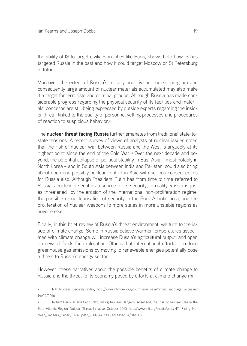the ability of IS to target civilians in cities like Paris, shows both how IS has targeted Russia in the past and how it could target Moscow or St Petersburg in future.

Moreover, the extent of Russia's military and civilian nuclear program and consequently large amount of nuclear materials accumulated may also make it a target for terrorists and criminal groups. Although Russia has made considerable progress regarding the physical security of its facilities and materials, concerns are still being expressed by outside experts regarding the insider threat, linked to the quality of personnel vetting processes and procedures of reaction to suspicious behavior.<sup>71</sup>

The **nuclear threat facing Russia** further emanates from traditional state-tostate tensions. A recent survey of views of analysts of nuclear issues noted that the risk of nuclear war between Russia and the West is arguably at its highest point since the end of the Cold War.<sup>72</sup> Over the next decade and beyond, the potential collapse of political stability in East Asia – most notably in North Korea – and in South Asia between India and Pakistan, could also bring about open and possibly nuclear conflict in Asia with serious consequences for Russia also. Although President Putin has from time to time referred to Russia's nuclear arsenal as a source of its security, in reality Russia is just as threatened by the erosion of the international non-proliferation regime, the possible re-nuclearisation of security in the Euro-Atlantic area, and the proliferation of nuclear weapons to more states in more unstable regions as anyone else.

Finally, in this brief review of Russia's threat environment, we turn to the issue of climate change. Some in Russia believe warmer temperatures associated with climate change will increase Russia's agricultural output, and open up new oil fields for exploration. Others that international efforts to reduce greenhouse gas emissions by moving to renewable energies potentially pose a threat to Russia's energy sector.

However, these narratives about the possible benefits of climate change to Russia and the threat to its economy posed by efforts at climate change miti-

<sup>71</sup> NTI Nuclear Security Index, http://www.ntiindex.org/countries/russia/?index=sabotage, accessed 14/04/2016

<sup>72</sup> Robert Berls Jr and Leon Ratz, Rising Nuclear Dangers: Assessing the Risk of Nuclear Use in the Euro-Atlantic Region, Nulcear Threat Initiative, October 2015, http://www.nti.org/media/pdfs/NTI\_Rising\_Nuclear\_Dangers\_Paper\_FINAL.pdf?\_=1443443566, accessed 14/04/2016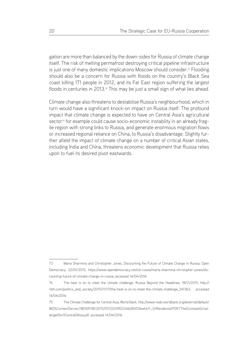gation are more than balanced by the down-sides for Russia of climate change itself. The risk of melting permafrost destroying critical pipeline infrastructure is just one of many domestic implications Moscow should consider.73 Flooding should also be a concern for Russia with floods on the country's Black Sea coast killing 171 people in 2012, and its Far East region suffering the largest floods in centuries in 2013.<sup>74</sup> This may be just a small sign of what lies ahead.

Climate change also threatens to destabilise Russia's neighbourhood, which in turn would have a significant knock-on impact on Russia itself. The profound impact that climate change is expected to have on Central Asia's agricultural sector<sup>75</sup> for example could cause socio-economic instability in an already fragile region with strong links to Russia, and generate enormous migration flows or increased regional reliance on China, to Russia's disadvantage. Slightly further afield the impact of climate change on a number of critical Asian states, including India and China, threatens economic development that Russia relies upon to fuel its desired pivot eastwards.

<sup>73</sup> Maria Sharmina and Christopher Jones, Discounting the Future of Climate Change in Russia, Open Democracy, 22/01/2015, https://www.opendemocracy.net/od-russia/maria-sharmina-christopher-jones/discounting-future-of-climate-change-in-russia, accessed 14/04/2016

<sup>74</sup> The heat is on to meet the climate challenge, Russia Beyond the Headlines, 18/11/2015, http:// rbth.com/politics\_and\_society/2015/11/17/the-heat-is-on-to-meet-the-climate-challenge\_541363, accessed 14/04/2016

<sup>75</sup> The Climate Challenge for Central Asia, World Bank, http://www-wds.worldbank.org/external/default/ WDSContentServer/WDSP/IB/2015/07/20/090224b08300ba64/1\_0/Rendered/PDF/The0climate0challenge0for0Central0Asia.pdf, accessed 14/04/2016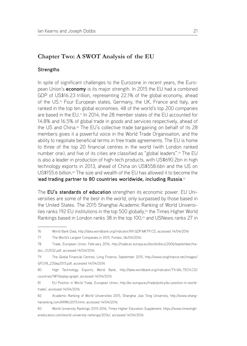## **Chapter Two: A SWOT Analysis of the EU**

#### **Strengths**

In spite of significant challenges to the Eurozone in recent years, the European Union's **economy** is its major strength. In 2015 the EU had a combined GDP of US\$16.23 trillion, representing 22.1% of the global economy, ahead of the US.76 Four European states, Germany, the UK, France and Italy, are ranked in the top ten global economies. 48 of the world's top 200 companies are based in the EU.<sup>77</sup> In 2014, the 28 member states of the EU accounted for 14.8% and 16.5% of global trade in goods and services respectively, ahead of the US and China.78 The EU's collective trade bargaining on behalf of its 28 members gives it a powerful voice in the World Trade Organisation, and the ability to negotiate beneficial terms in free trade agreements. The EU is home to three of the top 20 financial centres in the world (with London ranked number one), and five of its cities are classified as "global leaders".<sup>79</sup> The EU is also a leader in production of high-tech products, with US\$690.2bn in high technology exports in 2013, ahead of China on US\$558.6bn and the US on US\$155.6 billion.<sup>80</sup> The size and wealth of the EU has allowed it to become the l**ead trading partner to 80 countries worldwide, including Russia**. 81

The **EU's standards of education** strengthen its economic power. EU Universities are some of the best in the world, only surpassed by those based in the United States. The 2015 Shanghai Academic Ranking of World Universities ranks 192 EU institutions in the top 500 globally,<sup>82</sup> the Times Higher World Rankings based in London ranks 38 in the top 100,<sup>83</sup> and USNews ranks 27 in

<sup>76</sup> World Bank Data, http://data.worldbank.org/indicator/NY.GDP.MKTP.CD, accessed 14/04/2016

<sup>77</sup> The World's Largest Companies in 2015, Forbes, 06/04/2016

<sup>78</sup> Trade, European Union, February 2016, http://trade.ec.europa.eu/doclib/docs/2006/september/tradoc\_122532.pdf, accessed 14/04/2016

<sup>79</sup> The Global Financial Centres, Long Finance, September 2015, http://www.longfinance.net/images/ GFCI18\_23Sep2015.pdf, accessed 14/04/2016

<sup>80</sup> High Technology Exports, World Bank, http://data.worldbank.org/indicator/TX.VAL.TECH.CD/ countries/1W?display=graph, accessed 14/04/2016

<sup>81</sup> EU Position in World Trade, European Union, http://ec.europa.eu/trade/policy/eu-position-in-worldtrade/, accessed 14/04/2016

<sup>82</sup> Academic Ranking of World Universities 2015, Shanghai Jiao Tong University, http://www.shanghairanking.com/ARWU2015.html, accessed 14/04/2016

<sup>83</sup> World University Rankings 2015-2016, Times Higher Education Supplement, https://www.timeshighereducation.com/world-university-rankings/2016/, accessed 14/04/2016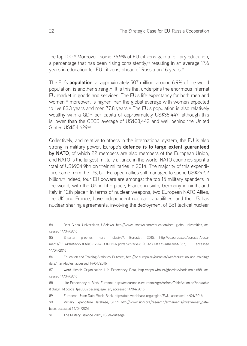the top 100.84 Moreover, some 36.9% of EU citizens gain a tertiary education, a percentage that has been rising consistently,<sup>85</sup> resulting in an average 17.6 years in education for EU citizens, ahead of Russia on 16 years.<sup>86</sup>

The EU's **population**, at approximately 507 million, around 6.9% of the world population, is another strength. It is this that underpins the enormous internal EU market in goods and services. The EU's life expectancy for both men and women,<sup>87</sup> moreover, is higher than the global average with women expected to live 83.3 years and men 77.8 years.<sup>88</sup> The EU's population is also relatively wealthy with a GDP per capita of approximately US\$36,447, although this is lower than the OECD average of US\$38,442 and well behind the United States US\$54,629.89

Collectively, and relative to others in the international system, the EU is also strong in military power. Europe's **defence is to large extent guaranteed by NATO**, of which 22 members are also members of the European Union, and NATO is the largest military alliance in the world. NATO countries spent a total of US\$904.9bn on their militaries in 2014. The majority of this expenditure came from the US, but European allies still managed to spend US\$292.2 billion.<sup>90</sup> Indeed, four EU powers are amongst the top 15 military spenders in the world, with the UK in fifth place, France in sixth, Germany in ninth, and Italy in 12th place.<sup>91</sup> In terms of nuclear weapons, two European NATO Allies, the UK and France, have independent nuclear capabilities, and the US has nuclear sharing agreements, involving the deployment of B61 tactical nuclear

<sup>84</sup> Best Global Universities, USNews, http://www.usnews.com/education/best-global-universities, accessed 14/04/2016

<sup>85</sup> Smarter, greener, more inclusive?, Eurostat, 2015, http://ec.europa.eu/eurostat/documents/3217494/6655013/KS-EZ-14-001-EN-N.pdf/a5452f6e-8190-4f30-8996-41b1306f7367, accessed 14/04/2016

<sup>86</sup> Education and Training Statistics, Eurostat, http://ec.europa.eu/eurostat/web/education-and-training/ data/main-tables, accessed 14/04/2016

<sup>87</sup> Word Health Organisation Life Expectancy Data, http://apps.who.int/gho/data/node.main.688, accessed 14/04/2016

<sup>88</sup> Life Expectancy at Birth, Eurostat, http://ec.europa.eu/eurostat/tgm/refreshTableAction.do?tab=table &plugin=1&pcode=tps00025&language=en, accessed 14/04/2016

<sup>89</sup> European Union Data, World Bank, http://data.worldbank.org/region/EUU, accessed 14/04/2016

<sup>90</sup> Military Expenditure Database, SIPRI, http://www.sipri.org/research/armaments/milex/milex\_database, accessed 14/04/2016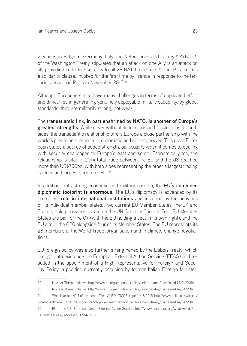weapons in Belgium, Germany, Italy, the Netherlands and Turkey.<sup>92</sup> Article 5 of the Washington Treaty stipulates that an attack on one Ally is an attack on all, providing collective security to all 28 NATO members.<sup>93</sup> The EU also has a solidarity clause, invoked for the first time by France in response to the terrorist assault on Paris in November 2015.94

Although European states have many challenges in terms of duplicated effort and difficulties in generating genuinely deployable military capability, by global standards, they are militarily strong, not weak.

The **transatlantic link, in part enshrined by NATO, is another of Europe's greatest strengths**. While never without its tensions and frustrations for both sides, the transatlantic relationship offers Europe a close partnership with the world's preeminent economic, diplomatic and military power. This gives European states a source of added strength, particularly when it comes to dealing with security challenges to Europe's east and south. Economically too, the relationship is vital. In 2014 total trade between the EU and the US reached more than US\$700bn, with both sides representing the other's largest trading partner and largest source of FDI.95

In addition to its strong economic and military position, the **EU's combined diplomatic footprint is enormous**. The EU's diplomacy is advanced by its prominent **role in international institutions** and fora and by the activities of its individual member states. Two current EU Member States, the UK and France, hold permanent seats on the UN Security Council. Four EU Member States are part of the G7 (with the EU holding a seat in its own right), and the EU sits in the G20 alongside four of its Member States. The EU represents its 28 members at the World Trade Organisation and in climate change negotiations.

EU foreign policy was also further strengthened by the Lisbon Treaty, which brought into existence the European External Action Service (EEAS) and resulted in the appointment of a High Representative for Foreign and Security Policy, a position currently occupied by former Italian Foreign Minister,

94 What is article 42.7 of the Lisbon Treaty?, POLITICOEurope, 11/17/2015, http://www.politico.eu/article/

<sup>92</sup> Nuclear Threat Initiative, http://www.nti.org/country-profiles/united-states/, accessed 14/04/2016

<sup>93</sup> Nuclear Threat Initiative, http://www.nti.org/country-profiles/united-states/, accessed 14/04/2016

what-is-article-42-7-of-the-lisbon-french-government-terrorist-attacks-paris-treaty/, accessed 14/04/2016

<sup>95</sup> EU in the US, European Union External Action Service, http://www.euintheus.org/what-we-do/euus-facts-figures/, accessed 14/04/2016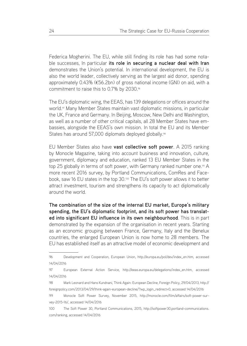Federica Mogherini. The EU, while still finding its role has had some notable successes, In particular **its role in securing a nuclear deal with Iran** demonstrates the Union's potential. In international development, the EU is also the world leader, collectively serving as the largest aid donor, spending approximately 0.43% (€56.2bn) of gross national income (GNI) on aid, with a commitment to raise this to 0.7% by 2030.<sup>96</sup>

The EU's diplomatic wing, the EEAS, has 139 delegations or offices around the world.97 Many Member States maintain vast diplomatic missions, in particular the UK, France and Germany. In Beijing, Moscow, New Delhi and Washington, as well as a number of other critical capitals, all 28 Member States have embassies, alongside the EEAS's own mission. In total the EU and its Member States has around 57,000 diplomats deployed globally.<sup>98</sup>

EU Member States also have **vast collective soft power**. A 2015 ranking by Monocle Magazine, taking into account business and innovation, culture, government, diplomacy and education, ranked 13 EU Member States in the top 25 globally in terms of soft power, with Germany ranked number one.<sup>99</sup> A more recent 2016 survey, by Portland Communications, ComRes and Facebook, saw 16 EU states in the top 30.100 The EU's soft power allows it to better attract investment, tourism and strengthens its capacity to act diplomatically around the world.

**The combination of the size of the internal EU market, Europe's military spending, the EU's diplomatic footprint, and its soft power has translated into significant EU influence in its own neighbourhood**. This is in part demonstrated by the expansion of the organisation in recent years. Starting as an economic grouping between France, Germany, Italy and the Benelux countries, the enlarged European Union is now home to 28 members. The EU has established itself as an attractive model of economic development and

<sup>96</sup> Development and Cooperation, European Union, http://europa.eu/pol/dev/index\_en.htm, accessed 14/04/2016

<sup>97</sup> European External Action Service, http://eeas.europa.eu/delegations/index\_en.htm, accessed 14/04/2016

<sup>98</sup> Mark Leonard and Hans Kundnani, Think Again: European Decline, Foreign Policy, 29/04/2013, http:// foreignpolicy.com/2013/04/29/think-again-european-decline/?wp\_login\_redirect=0, accessed 14/04/2016

<sup>99</sup> Monocle Soft Power Survey, November 2015, http://monocle.com/film/affairs/soft-power-survey-2015-16/, accessed 14/04/2016

<sup>100</sup> The Soft Power 30, Portland Communications, 2015, http://softpower30.portland-communications. com/ranking, accessed 14/04/2016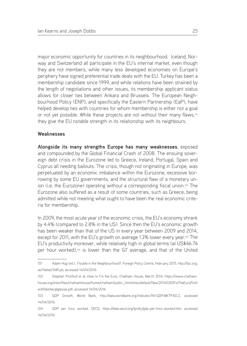major economic opportunity for countries in its neighbourhood. Iceland, Norway and Switzerland all participate in the EU's internal market, even though they are not members, while many less developed economies on Europe's periphery have signed preferential trade deals with the EU. Turkey has been a membership candidate since 1999, and while relations have been strained by the length of negotiations and other issues, its membership applicant status allows for closer ties between Ankara and Brussels. The European Neighbourhood Policy (ENP), and specifically the Eastern Partnership (EaP), have helped develop ties with countries for whom membership is either not a goal or not yet possible. While these projects are not without their many flaws,<sup>101</sup> they give the EU notable strength in its relationship with its neighbours.

#### **Weaknesses**

**Alongside its many strengths Europe has many weaknesses**, exposed and compounded by the Global Financial Crash of 2008. The ensuing sovereign debt crisis in the Eurozone led to Greece, Ireland, Portugal, Spain and Cyprus all needing bailouts. The crisis, though not originating in Europe, was perpetuated by an economic imbalance within the Eurozone, excessive borrowing by some EU governments, and the structural flaw of a monetary union (i.e. the Eurozone) operating without a corresponding fiscal union.<sup>102</sup> The Eurozone also suffered as a result of some countries, such as Greece, being admitted while not meeting what ought to have been the real economic criteria for membership.

In 2009, the most acute year of the economic crisis, the EU's economy shrank by 4.4% (compared to 2.8% in the US). Since then the EU's economic growth has been weaker than that of the US in every year between 2009 and 2014, except for 2011, with the EU's growth on average 1.3% lower every year.<sup>103</sup> The EU's productivity moreover, while relatively high in global terms (at US\$46.74 per hour worked),104 is lower than the G7 average, and that of the United

<sup>101</sup> Adam Hug (ed.), Trouble in the Neighbourhood?, Foreign Policy Centre, February 2015, http://fpc.org. uk/fsblob/1681.pd, accessed 14/04/2016

<sup>102</sup> Stephen Pickford et al, How to Fix the Euro, Chatham House, March 2014, https://www.chathamhouse.org/sites/files/chathamhouse/home/chatham/public\_html/sites/default/files/20140300FixTheEuroPickf ordSteinbergIglesias.pdf, accessed 14/04/2016

<sup>103</sup> GDP Growth, World Bank, http://data.worldbank.org/indicator/NY.GDP.MKTP.KD.Z, accessed 14/04/2016

<sup>104</sup> GDP per hour worked, OECD, https://data.oecd.org/lprdty/gdp-per-hour-worked.htm, accessed 14/04/2016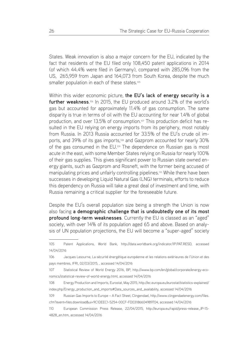States. Weak innovation is also a major concern for the EU, indicated by the fact that residents of the EU filed only 108,450 patent applications in 2014 (of which 44.4% were filed in Germany), compared with 285,096 from the US, 265,959 from Japan and 164,073 from South Korea, despite the much smaller population in each of these states.<sup>105</sup>

Within this wider economic picture, **the EU's lack of energy security is a**  further weakness.<sup>106</sup> In 2015, the EU produced around 3.2% of the world's gas but accounted for approximately 11.4% of gas consumption. The same disparity is true in terms of oil with the EU accounting for near 1.4% of global production, and over 13.5% of consumption.<sup>107</sup> This production deficit has resulted in the EU relying on energy imports from its periphery, most notably from Russia. In 2013 Russia accounted for 33.5% of the EU's crude oil imports, and 39% of its gas imports,<sup>108</sup> and Gazprom accounted for nearly 30% of the gas consumed in the EU.109 The dependence on Russian gas is most acute in the east, with some Member States relying on Russia for nearly 100% of their gas supplies. This gives significant power to Russian state owned energy giants, such as Gazprom and Rosneft, with the former being accused of manipulating prices and unfairly controlling pipelines.110 While there have been successes in developing Liquid Natural Gas (LNG) terminals, efforts to reduce this dependency on Russia will take a great deal of investment and time, with Russia remaining a critical supplier for the foreseeable future.

Despite the EU's overall population size being a strength the Union is now also facing **a demographic challenge that is undoubtedly one of its most profound long-term weaknesses**. Currently the EU is classed as an "aged" society, with over 14% of its population aged 65 and above. Based on analysis of UN population projections, the EU will become a "super-aged" society

109 Russian Gas Imports to Europe – A Fact Sheet, Clingendael, http://www.clingendaelenergy.com/files. cfm?event=files.download&ui=9C1DEEC1-5254-00CF-FD03186604989704, accessed 14/04/2016

<sup>105</sup> Patent Applications, World Bank, http://data.worldbank.org/indicator/IP.PAT.RESD, accessed 14/04/2016

<sup>106</sup> Jacques Lesourne, La sécurité énergétique européenne et les relations extérieures de l'Union et des pays membres, IFRI, 02/03/2015, , accessed 14/04/2016

<sup>107</sup> Statistical Review of World Energy 2016, BP, http://www.bp.com/en/global/corporate/energy-economics/statistical-review-of-world-energy.html, accessed 14/04/2016

<sup>108</sup> Energy Production and Imports, Eurostat, May 2015, http://ec.europa.eu/eurostat/statistics-explained/ index.php/Energy\_production\_and\_imports#Data\_sources\_and\_availability, accessed 14/04/2016

<sup>110</sup> European Commission Press Release, 22/04/2015, http://europa.eu/rapid/press-release\_IP-15- 4828\_en.htm, accessed 14/04/2016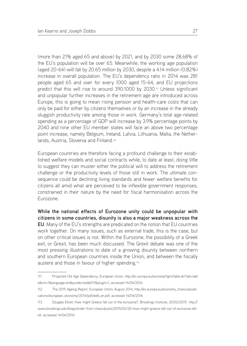(more than 21% aged 65 and above) by 2021, and by 2030 some 28.68% of the EU's population will be over 65. Meanwhile, the working age population (aged 20-64) will fall by 20.65 million by 2030, despite a 4.14 million (0.82%) increase in overall population. The EU's dependency ratio in 2014 was 281 people aged 65 and over for every 1000 aged 15-64, and EU projections predict that this will rise to around 390:1000 by 2030.<sup>111</sup> Unless significant and unpopular further increases in the retirement age are introduced across Europe, this is going to mean rising pension and health-care costs that can only be paid for either by citizens themselves or by an increase in the already sluggish productivity rate among those in work. Germany's total age-related spending as a percentage of GDP will increase by 3.9% percentage points by 2040 and nine other EU member states will face an above two percentage point increase, namely Belgium, Ireland, Latvia, Lithuania, Malta, the Netherlands, Austria, Slovenia and Finland.112

European countries are therefore facing a profound challenge to their established welfare models and social contracts while, to date at least, doing little to suggest they can muster either the political will to address the retirement challenge or the productivity levels of those still in work. The ultimate consequence could be declining living standards and fewer welfare benefits for citizens all amid what are perceived to be inflexible government responses, constrained in their nature by the need for fiscal harmonisation across the Eurozone.

**While the national effects of Eurozone unity could be unpopular with citizens in some countries, disunity is also a major weakness across the EU**. Many of the EU's strengths are predicated on the notion that EU countries work together. On many issues, such as external trade, this is the case, but on other critical issues is not. Within the Eurozone, the possibility of a Greek exit, or Grexit, has been much discussed. The Grexit debate was one of the most pressing illustrations to date of a growing disunity between northern and southern European countries inside the Union, and between the fiscally austere and those in favour of higher spending.113

<sup>111</sup> Projected Old Age Dependency, European Union, http://ec.europa.eu/eurostat/tgm/table.do?tab=tabl e&init=1&language=en&pcode=tsdde511&plugin=1, accessed 14/04/2016

<sup>112</sup> The 2015 Ageing Report, European Union, August 2014, http://ec.europa.eu/economy\_finance/publications/european\_economy/2014/pdf/ee8\_en.pdf, accessed 14/04/2016

<sup>113</sup> Douglas Elliott, How might Greece fall out of the eurozone?, Brookings Institute, 20/02/2015 http:// www.brookings.edu/blogs/order-from-chaos/posts/2015/02/20-how-might-greece-fall-out-of-eurozone-elliott, accessed 14/04/2016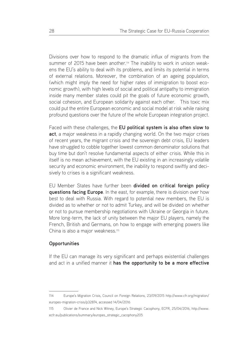Divisions over how to respond to the dramatic influx of migrants from the summer of 2015 have been another.<sup>114</sup> The inability to work in unison weakens the EU's ability to deal with its problems, and limits its potential in terms of external relations. Moreover, the combination of an ageing population, (which might imply the need for higher rates of immigration to boost economic growth), with high levels of social and political antipathy to immigration inside many member states could pit the goals of future economic growth, social cohesion, and European solidarity against each other. This toxic mix could put the entire European economic and social model at risk while raising profound questions over the future of the whole European integration project.

Faced with these challenges, the **EU political system is also often slow to act**, a major weakness in a rapidly changing world. On the two major crises of recent years, the migrant crisis and the sovereign debt crisis, EU leaders have struggled to cobble together lowest common denominator solutions that buy time but don't resolve fundamental aspects of either crisis. While this in itself is no mean achievement, with the EU existing in an increasingly volatile security and economic environment, the inability to respond swiftly and decisively to crises is a significant weakness.

EU Member States have further been **divided on critical foreign policy questions facing Europe**. In the east, for example, there is division over how best to deal with Russia. With regard to potential new members, the EU is divided as to whether or not to admit Turkey, and will be divided on whether or not to pursue membership negotiations with Ukraine or Georgia in future. More long-term, the lack of unity between the major EU players, namely the French, British and Germans, on how to engage with emerging powers like China is also a major weakness.<sup>115</sup>

#### **Opportunities**

If the EU can manage its very significant and perhaps existential challenges and act in a unified manner it **has the opportunity to be a more effective** 

<sup>114</sup> Europe's Migration Crisis, Council on Foreign Relations, 23/09/2015 http://www.cfr.org/migration/ europes-migration-crisis/p32874, accessed 14/04/2016

<sup>115</sup> Olivier de France and Nick Witney, Europe's Strategic Cacophony, ECFR, 25/04/2016, http://www. ecfr.eu/publications/summary/europes\_strategic\_cacophony205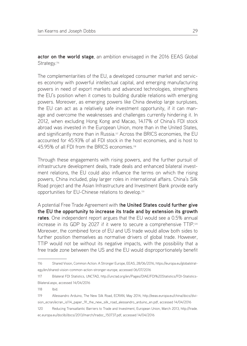**actor on the world stage**, an ambition envisaged in the 2016 EEAS Global Strategy.<sup>116</sup>

The complementarities of the EU, a developed consumer market and services economy with powerful intellectual capital, and emerging manufacturing powers in need of export markets and advanced technologies, strengthens the EU's position when it comes to building durable relations with emerging powers. Moreover, as emerging powers like China develop large surpluses, the EU can act as a relatively safe investment opportunity, if it can manage and overcome the weaknesses and challenges currently hindering it. In 2012, when excluding Hong Kong and Macao, 14.17% of China's FDI stock abroad was invested in the European Union, more than in the United States, and significantly more than in Russia.117 Across the BRICS economies, the EU accounted for 45.93% of all FDI stock in the host economies, and is host to 45.95% of all FDI from the BRICS economies.118

Through these engagements with rising powers, and the further pursuit of infrastructure development deals, trade deals and enhanced bilateral investment relations, the EU could also influence the terms on which the rising powers, China included, play larger roles in international affairs. China's Silk Road project and the Asian Infrastructure and Investment Bank provide early opportunities for EU-Chinese relations to develop.119

A potential Free Trade Agreement with t**he United States could further give the EU the opportunity to increase its trade and by extension its growth rates**. One independent report argues that the EU would see a 0.5% annual increase in its GDP by 2027 if it were to secure a comprehensive TTIP.120 Moreover, the combined force of EU and US trade would allow both sides to further position themselves as normative drivers of global trade. However, TTIP would not be without its negative impacts, with the possibility that a free trade zone between the US and the EU would disproportionately benefit

118 Ibid.

- 119 Allessandro Arduino, The New Silk Road, ECRAN, May 2014, http://eeas.europa.eu/china/docs/division\_ecran/ecran\_is114\_paper\_91\_the\_new\_silk\_road\_alessandro\_arduino\_en.pdf, accessed 14/04/2016
- 120 Reducing Transatlantic Barriers to Trade and Investment, European Union, March 2013, http://trade. ec.europa.eu/doclib/docs/2013/march/tradoc\_150737.pdf, accessed 14/04/2016

<sup>116</sup> Shared Vision, Common Action: A Stronger Europe, EEAS, 28/06/2016, https://europa.eu/globalstrategy/en/shared-vision-common-action-stronger-europe, accessed 06/07/2016

<sup>117</sup> Bilateral FDI Statistics, UNCTAD, http://unctad.org/en/Pages/DIAE/FDI%20Statistics/FDI-Statistics-Bilateral.aspx, accessed 14/04/2016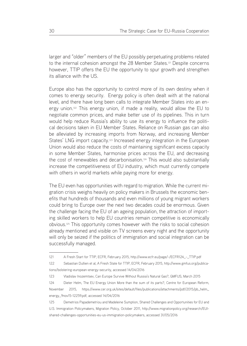larger and "older" members of the EU possibly perpetuating problems related to the internal cohesion amongst the 28 Member States.<sup>121</sup> Despite concerns however, TTIP offers the EU the opportunity to spur growth and strengthen its alliance with the US.

Europe also has the opportunity to control more of its own destiny when it comes to energy security. Energy policy is often dealt with at the national level, and there have long been calls to integrate Member States into an energy union.122 This energy union, if made a reality, would allow the EU to negotiate common prices, and make better use of its pipelines. This in turn would help reduce Russia's ability to use its energy to influence the political decisions taken in EU Member States. Reliance on Russian gas can also be alleviated by increasing imports from Norway, and increasing Member States' LNG import capacity.<sup>123</sup> Increased energy integration in the European Union would also reduce the costs of maintaining significant excess capacity in some Member States, harmonise prices across the EU, and decreasing the cost of renewables and decarbonisation.124 This would also substantially increase the competitiveness of EU industry, which must currently compete with others in world markets while paying more for energy.

The EU even has opportunities with regard to migration. While the current migration crisis weighs heavily on policy makers in Brussels the economic benefits that hundreds of thousands and even millions of young migrant workers could bring to Europe over the next two decades could be enormous. Given the challenge facing the EU of an ageing population, the attraction of importing skilled workers to help EU countries remain competitive is economically obvious.125 This opportunity comes however with the risks to social cohesion already mentioned and visible on TV screens every night and the opportunity will only be seized if the politics of immigration and social integration can be successfully managed.

<sup>121</sup> A Fresh Start for TTIP, ECFR, February 2015, http://www.ecfr.eu/page/-/ECFR124\_-\_TTIP.pdf

<sup>122</sup> Sebastian Dullien et al, A Fresh State for TTIP, ECFR, February 2015, http://www.gmfus.org/publications/bolstering-european-energy-security, accessed 14/04/2016

<sup>123</sup> Vladislav Inozemtsev, Can Europe Survive Without Russia's Natural Gas?, GMFUS, March 2015

<sup>124</sup> Dieter Helm, The EU Energy Union More than the sum of its parts?, Centre for European Reform, November 2015, https://www.cer.org.uk/sites/default/files/publications/attachments/pdf/2015/pb\_helm\_ energy\_9nov15-12259.pdf, accessed 14/04/2016

<sup>125</sup> Demetrios Papademetriou and Madeleine Sumption, Shared Challenges and Opportunities for EU and U.S. Immigration Policymakers, Migration Policy, October 2011, http://www.migrationpolicy.org/research/EUIshared-challenges-opportunities-eu-us-immigration-policymakers, accessed 31/05/2016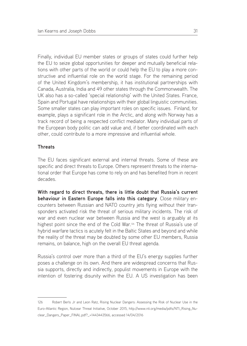Finally, individual EU member states or groups of states could further help the EU to seize global opportunities for deeper and mutually beneficial relations with other parts of the world or could help the EU to play a more constructive and influential role on the world stage. For the remaining period of the United Kingdom's membership, it has institutional partnerships with Canada, Australia, India and 49 other states through the Commonwealth. The UK also has a so-called 'special relationship' with the United States. France, Spain and Portugal have relationships with their global linguistic communities. Some smaller states can play important roles on specific issues. Finland, for example, plays a significant role in the Arctic, and along with Norway has a track record of being a respected conflict mediator. Many individual parts of the European body politic can add value and, if better coordinated with each other, could contribute to a more impressive and influential whole.

#### **Threats**

The EU faces significant external and internal threats. Some of these are specific and direct threats to Europe. Others represent threats to the international order that Europe has come to rely on and has benefited from in recent decades.

**With regard to direct threats, there is little doubt that Russia's current behaviour in Eastern Europe falls into this category**. Close military encounters between Russian and NATO country jets flying without their transponders activated risk the threat of serious military incidents. The risk of war and even nuclear war between Russia and the west is arguably at its highest point since the end of the Cold War.<sup>126</sup> The threat of Russia's use of hybrid warfare tactics is acutely felt in the Baltic States and beyond and while the reality of the threat may be doubted by some other EU members, Russia remains, on balance, high on the overall EU threat agenda.

Russia's control over more than a third of the EU's energy supplies further poses a challenge on its own. And there are widespread concerns that Russia supports, directly and indirectly, populist movements in Europe with the intention of fostering disunity within the EU. A US investigation has been

<sup>126</sup> Robert Berls Jr and Leon Ratz, Rising Nuclear Dangers: Assessing the Risk of Nuclear Use in the Euro-Atlantic Region, Nulcear Threat Initiative, October 2015, http://www.nti.org/media/pdfs/NTI\_Rising\_Nuclear\_Dangers\_Paper\_FINAL.pdf?\_=1443443566, accessed 14/04/2016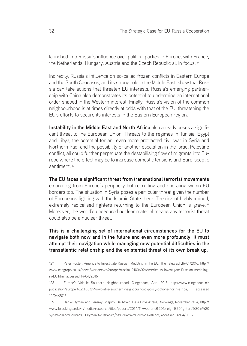launched into Russia's influence over political parties in Europe, with France, the Netherlands, Hungary, Austria and the Czech Republic all in focus.<sup>127</sup>

Indirectly, Russia's influence on so-called frozen conflicts in Eastern Europe and the South Caucasus, and its strong role in the Middle East, show that Russia can take actions that threaten EU interests. Russia's emerging partnership with China also demonstrates its potential to undermine an international order shaped in the Western interest. Finally, Russia's vision of the common neighbourhood is at times directly at odds with that of the EU, threatening the EU's efforts to secure its interests in the Eastern European region.

**Instability in the Middle East and North Africa** also already poses a significant threat to the European Union. Threats to the regimes in Tunisia, Egypt and Libya, the potential for an even more protracted civil war in Syria and Northern Iraq, and the possibility of another escalation in the Israel Palestine conflict, all could further perpetuate the destabilising flow of migrants into Europe where the effect may be to increase domestic tensions and Euro-sceptic sentiment<sup>128</sup>

**The EU faces a significant threat from transnational terrorist movements**  emanating from Europe's periphery but recruiting and operating within EU borders too. The situation in Syria poses a particular threat given the number of Europeans fighting with the Islamic State there. The risk of highly trained, extremely radicalised fighters returning to the European Union is grave.129 Moreover, the world's unsecured nuclear material means any terrorist threat could also be a nuclear threat.

**This is a challenging set of international circumstances for the EU to navigate both now and in the future and even more profoundly, it must attempt their navigation while managing new potential difficulties in the transatlantic relationship and the existential threat of its own break up.**

<sup>127</sup> Peter Foster, America to Investigate Russian Meddling in the EU, The Telegraph,16/01/2016, http:// www.telegraph.co.uk/news/worldnews/europe/russia/12103602/America-to-investigate-Russian-meddlingin-EU.html, accessed 14/04/2016

<sup>128</sup> Europe's Volatile Southern Neighbourhood, Clingendael, April 2015, http://www.clingendael.nl/ publication/europe%E2%80%99s-volatile-southern-neighbourhood-policy-options-north-africa, accessed 14/04/2016

<sup>129</sup> Daniel Byman and Jeremy Shapiro, Be Afraid. Be a Little Afraid, Brookings, November 2014, http:// www.brookings.edu/~/media/research/files/papers/2014/11/western%20foreign%20fighters%20in%20 syria%20and%20iraq%20byman%20shapiro/be%20afraid%20%20web.pdf, accessed 14/04/2016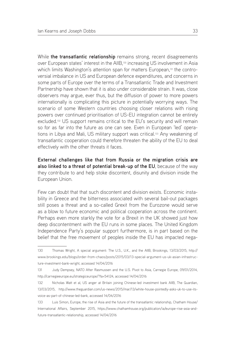While **the transatlantic relationship** remains strong, recent disagreements over European states' interest in the AIIB,130 increasing US involvement in Asia which limits Washington's attention span for matters European,<sup>131</sup> the controversial imbalance in US and European defence expenditures, and concerns in some parts of Europe over the terms of a Transatlantic Trade and Investment Partnership have shown that it is also under considerable strain. It was, close observers may argue, ever thus, but the diffusion of power to more powers internationally is complicating this picture in potentially worrying ways. The scenario of some Western countries choosing closer relations with rising powers over continued prioritisation of US-EU integration cannot be entirely excluded.132 US support remains critical to the EU's security and will remain so for as far into the future as one can see. Even in European 'led' operations in Libya and Mali, US military support was critical.133 Any weakening of transatlantic cooperation could therefore threaten the ability of the EU to deal effectively with the other threats it faces.

**External challenges like that from Russia or the migration crisis are also linked to a threat of potential break-up of the EU**, because of the way they contribute to and help stoke discontent, disunity and division inside the European Union.

Few can doubt that that such discontent and division exists. Economic instability in Greece and the bitterness associated with several bail-out packages still poses a threat and a so-called Grexit from the Eurozone would serve as a blow to future economic and political cooperation across the continent. Perhaps even more starkly the vote for a Brexit in the UK showed just how deep discontentment with the EU runs in some places. The United Kingdom Independence Party's popular support furthermore, is in part based on the belief that the free movement of peoples inside the EU has impacted nega-

<sup>130</sup> Thomas Wright, A special argument: The U.S., U.K., and the AIIB, Brookings, 13/03/2015, http:// www.brookings.edu/blogs/order-from-chaos/posts/2015/03/13-special-argument-us-uk-asian-infrastructure-investment-bank-wright, accessed 14/04/2016

<sup>131</sup> Judy Dempsey, NATO After Rasmussen and the U.S. Pivot to Asia, Carnegie Europe, 09/01/2014, http://carnegieeurope.eu/strategiceurope/?fa=54124, accessed 14/04/2016

<sup>132</sup> Nicholas Watt et al, US anger at Britain joining Chinese-led investment bank AIIB, The Guardian, 13/03/2015, http://www.theguardian.com/us-news/2015/mar/13/white-house-pointedly-asks-uk-to-use-itsvoice-as-part-of-chinese-led-bank, accessed 14/04/2016

<sup>133</sup> Luis Simon, Europe, the rise of Asia and the future of the transatlantic relationship, Chatham House/ International Affairs, September 2015, https://www.chathamhouse.org/publication/ia/europe-rise-asia-andfuture-transatlantic-relationship, accessed 14/04/2016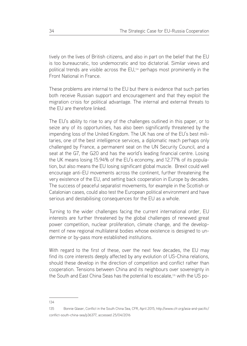tively on the lives of British citizens, and also in part on the belief that the EU is too bureaucratic, too undemocratic and too dictatorial. Similar views and political trends are visible across the EU,134 perhaps most prominently in the Front National in France.

These problems are internal to the EU but there is evidence that such parties both receive Russian support and encouragement and that they exploit the migration crisis for political advantage. The internal and external threats to the EU are therefore linked.

The EU's ability to rise to any of the challenges outlined in this paper, or to seize any of its opportunities, has also been significantly threatened by the impending loss of the United Kingdom. The UK has one of the EU's best militaries, one of the best intelligence services, a diplomatic reach perhaps only challenged by France, a permanent seat on the UN Security Council, and a seat at the G7, the G20 and has the world's leading financial centre. Losing the UK means losing 15.94% of the EU's economy, and 12.77% of its population, but also means the EU losing significant global muscle. Brexit could well encourage anti-EU movements across the continent, further threatening the very existence of the EU, and setting back cooperation in Europe by decades. The success of peaceful separatist movements, for example in the Scottish or Catalonian cases, could also test the European political environment and have serious and destabilising consequences for the EU as a whole.

Turning to the wider challenges facing the current international order, EU interests are further threatened by the global challenges of renewed great power competition, nuclear proliferation, climate change, and the development of new regional multilateral bodies whose existence is designed to undermine or by-pass more established institutions.

With regard to the first of these, over the next few decades, the EU may find its core interests deeply affected by any evolution of US-China relations, should these develop in the direction of competition and conflict rather than cooperation. Tensions between China and its neighbours over sovereignty in the South and East China Seas has the potential to escalate,135 with the US po-

#### 134

<sup>135</sup> Bonnie Glaser, Conflict in the South China Sea, CFR, April 2015, http://www.cfr.org/asia-and-pacific/ conflict-south-china-sea/p36377, accessed 25/04/2016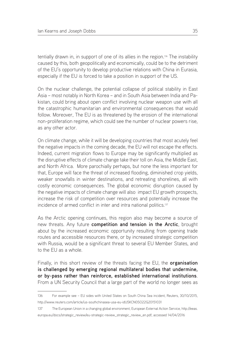tentially drawn in, in support of one of its allies in the region.136 The instability caused by this, both geopolitically and economically, could be to the detriment of the EU's opportunity to develop productive relations with China in Eurasia, especially if the EU is forced to take a position in support of the US.

On the nuclear challenge, the potential collapse of political stability in East Asia – most notably in North Korea – and in South Asia between India and Pakistan, could bring about open conflict involving nuclear weapon use with all the catastrophic humanitarian and environmental consequences that would follow. Moreover, The EU is as threatened by the erosion of the international non-proliferation regime, which could see the number of nuclear powers rise, as any other actor.

On climate change, while it will be developing countries that most acutely feel the negative impacts in the coming decade, the EU will not escape the effects. Indeed, current migration flows to Europe may be significantly multiplied as the disruptive effects of climate change take their toll on Asia, the Middle East, and North Africa. More parochially perhaps, but none the less important for that, Europe will face the threat of increased flooding, diminished crop yields, weaker snowfalls in winter destinations, and retreating shorelines, all with costly economic consequences. The global economic disruption caused by the negative impacts of climate change will also impact EU growth prospects, increase the risk of competition over resources and potentially increase the incidence of armed conflict in inter and intra national politics.<sup>137</sup>

As the Arctic opening continues, this region also may become a source of new threats. Any future **competition and tension in the Arctic**, brought about by the increased economic opportunity resulting from opening trade routes and accessible resources there, or by increased strategic competition with Russia, would be a significant threat to several EU Member States, and to the EU as a whole.

Finally, in this short review of the threats facing the EU, the **organisation is challenged by emerging regional multilateral bodies that undermine, or by-pass rather than reinforce, established international institutions**. From a UN Security Council that a large part of the world no longer sees as

137 The European Union in a changing global environment, European External Action Service, http://eeas. europa.eu/docs/strategic\_review/eu-strategic-review\_strategic\_review\_en.pdf, accessed 14/04/2016

<sup>136</sup> For example see – EU sides with United States on South China Sea incident, Reuters, 30/10/2015, http://www.reuters.com/article/us-southchinasea-usa-eu-idUSKCN0SO22G20151031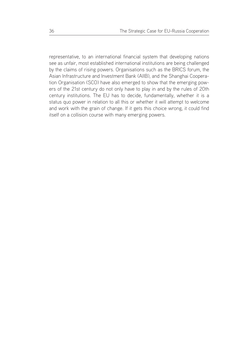representative, to an international financial system that developing nations see as unfair, most established international institutions are being challenged by the claims of rising powers. Organisations such as the BRICS forum, the Asian Infrastructure and Investment Bank (AIIB), and the Shanghai Cooperation Organisation (SCO) have also emerged to show that the emerging powers of the 21st century do not only have to play in and by the rules of 20th century institutions. The EU has to decide, fundamentally, whether it is a status quo power in relation to all this or whether it will attempt to welcome and work with the grain of change. If it gets this choice wrong, it could find itself on a collision course with many emerging powers.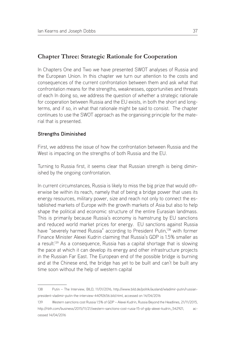## **Chapter Three: Strategic Rationale for Cooperation**

In Chapters One and Two we have presented SWOT analyses of Russia and the European Union. In this chapter we turn our attention to the costs and consequences of the current confrontation between them and ask what that confrontation means for the strengths, weaknesses, opportunities and threats of each In doing so, we address the question of whether a strategic rationale for cooperation between Russia and the EU exists, in both the short and longterms, and if so, in what that rationale might be said to consist. The chapter continues to use the SWOT approach as the organising principle for the material that is presented.

#### **Strengths Diminished**

First, we address the issue of how the confrontation between Russia and the West is impacting on the strengths of both Russia and the EU.

Turning to Russia first, it seems clear that Russian strength is being diminished by the ongoing confrontation.

In current circumstances, Russia is likely to miss the big prize that would otherwise be within its reach, namely that of being a bridge power that uses its energy resources, military power, size and reach not only to connect the established markets of Europe with the growth markets of Asia but also to help shape the political and economic structure of the entire Eurasian landmass. This is primarily because Russia's economy is hamstrung by EU sanctions and reduced world market prices for energy. EU sanctions against Russia have "severely harmed Russia" according to President Putin,<sup>138</sup> with former Finance Minister Alexei Kudrin claiming that Russia's GDP is 1.5% smaller as a result.<sup>139</sup> As a consequence, Russia has a capital shortage that is slowing the pace at which it can develop its energy and other infrastructure projects in the Russian Far East. The European end of the possible bridge is burning and at the Chinese end, the bridge has yet to be built and can't be built any time soon without the help of western capital

<sup>138</sup> Putin – The Interview, BILD, 11/01/2016, http://www.bild.de/politik/ausland/wladimir-putin/russianpresident-vladimir-putin-the-interview-44092656.bild.html, accessed on 14/04/2016

<sup>139</sup> Western sanctions cost Russia 1.5% of GDP – Alexei Kudrin, Russia Beyond the Headlines, 21/11/2015, http://rbth.com/business/2015/11/21/western-sanctions-cost-rusia-15-of-gdp-alexei-kudrin\_542921, accessed 14/04/2016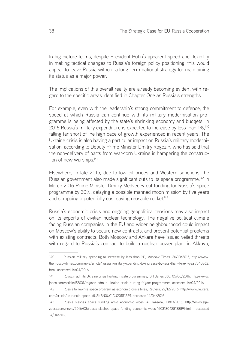In big picture terms, despite President Putin's apparent speed and flexibility in making tactical changes to Russia's foreign policy positioning, this would appear to leave Russia without a long-term national strategy for maintaining its status as a major power.

The implications of this overall reality are already becoming evident with regard to the specific areas identified in Chapter One as Russia's strengths.

For example, even with the leadership's strong commitment to defence, the speed at which Russia can continue with its military modernisation programme is being affected by the state's shrinking economy and budgets. In 2016 Russia's military expenditure is expected to increase by less than 1%,140 falling far short of the high pace of growth experienced in recent years. The Ukraine crisis is also having a particular impact on Russia's military modernisation, according to Deputy Prime Minister Dmitry Rogozin, who has said that the non-delivery of parts from war-torn Ukraine is hampering the construction of new warships.<sup>141</sup>

Elsewhere, in late 2015, due to low oil prices and Western sanctions, the Russian government also made significant cuts to its space programme.142 In March 2016 Prime Minister Dmitry Medvedev cut funding for Russia's space programme by 30%, delaying a possible manned moon mission by five years and scrapping a potentially cost saving reusable rocket.<sup>143</sup>

Russia's economic crisis and ongoing geopolitical tensions may also impact on its exports of civilian nuclear technology. The negative political climate facing Russian companies in the EU and wider neighbourhood could impact on Moscow's ability to secure new contracts, and present potential problems with existing contracts. Both Moscow and Ankara have issued veiled threats with regard to Russia's contract to build a nuclear power plant in Akkuyu,

<sup>140</sup> Russian military spending to increase by less than 1%, Moscow Times, 26/10/2015, http://www. themoscowtimes.com/news/article/russian-military-spending-to-increase-by-less-than-1-next-year/540362. html, accessed 14/04/2016

<sup>141</sup> Rogozin admits Ukraine crisis hurting frigate programmes, ISH Janes 360, 05/06/2016, http://www. janes.com/article/52031/rogozin-admits-ukraine-crisis-hurting-frigate-programmes, accessed 14/04/2016

<sup>142</sup> Russia to rewrite space program as economic crisis bites, Reuters, 29/12/2016, http://www.reuters. com/article/us-russia-space-idUSKBN0UC1CU20151229, accessed 14/04/2016

<sup>143</sup> Russia slashes space funding amid economic woes, Al Jazeera, 18/03/2016, http://www.aljazeera.com/news/2016/03/russia-slashes-space-funding-economic-woes-160318042813889.html, accessed 14/04/2016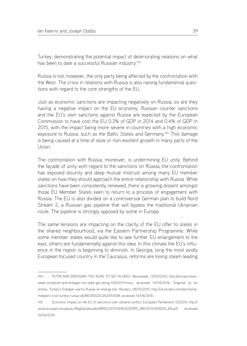Turkey, demonstrating the potential impact of deteriorating relations on what has been to date a successful Russian industry.<sup>144</sup>

Russia is not, however, the only party being affected by the confrontation with the West. The crisis in relations with Russia is also raising fundamental questions with regard to the core strengths of the EU.

Just as economic sanctions are impacting negatively on Russia, so are they having a negative impact on the EU economy. Russian counter sanctions and the EU's own sanctions against Russia are expected by the European Commission to have cost the EU 0.3% of GDP in 2014 and 0.4% of GDP in 2015, with the impact being more severe in countries with a high economic exposure to Russia, such as the Baltic States and Germany.145 This damage is being caused at a time of slow or non-existent growth in many parts of the Union.

The confrontation with Russia, moreover, is undermining EU unity. Behind the façade of unity with regard to the sanctions on Russia, the confrontation has exposed disunity and deep mutual mistrust among many EU member states on how they should approach the entire relationship with Russia. While sanctions have been consistently renewed, there is growing dissent amongst those EU Member States keen to return to a process of engagement with Russia. The EU is also divided on a controversial German plan to build Nord Stream 2, a Russian gas pipeline that will bypass the traditional Ukrainian route. The pipeline is strongly opposed by some in Europe.

The same tensions are impacting on the clarity of the EU offer to states in the shared neighbourhood, via the Eastern Partnership Programme. While some member states would quite like to see further EU enlargement to the east, others are fundamentally against this idea. In this climate the EU's influence in the region is beginning to diminish. In Georgia, long the most avidly European focused country in the Caucasus, reforms are losing steam leading

<sup>144</sup> PUTIN AND ERDOGAN: TOO ALIKE TO GET ALONG?, Newsweek, 13/03/2016, http://europe.newsweek.com/putin-and-erdogan-too-alike-get-along-436100?rm=eu, accessed 14/04/2016; Angered by air strikes, Turkey's Erdogan warns Russia on energy ties, Reuters, 08/10/2015, http://uk.reuters.com/article/ukmideast-crisis-turkey-russia-idUKKCN0S20JA20151008, accessed 14/04/2016

<sup>145</sup> Economic Impact on the EU of sanctions over Ukraine conflict, European Parliament, 10/2016, http:// www.europarl.europa.eu/RegData/etudes/BRIE/2015/569020/EPRS\_BRI(2015)569020\_EN.pdf, accessed 14/04/2016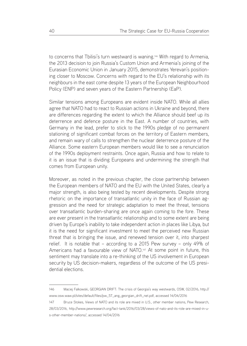to concerns that Tbilisi's turn westward is waning.146 With regard to Armenia, the 2013 decision to join Russia's Custom Union and Armenia's joining of the Eurasian Economic Union in January 2015, demonstrates Yerevan's positioning closer to Moscow. Concerns with regard to the EU's relationship with its neighbours in the east come despite 13 years of the European Neighbourhood Policy (ENP) and seven years of the Eastern Partnership (EaP).

Similar tensions among Europeans are evident inside NATO. While all allies agree that NATO had to react to Russian actions in Ukraine and beyond, there are differences regarding the extent to which the Alliance should beef up its deterrence and defence posture in the East. A number of countries, with Germany in the lead, prefer to stick to the 1990s pledge of no permanent stationing of significant combat forces on the territory of Eastern members, and remain wary of calls to strengthen the nuclear deterrence posture of the Alliance. Some eastern European members would like to see a renunciation of the 1990s deployment restraints. Once again, Russia and how to relate to it is an issue that is dividing Europeans and undermining the strength that comes from European unity.

Moreover, as noted in the previous chapter, the close partnership between the European members of NATO and the EU with the United States, clearly a major strength, is also being tested by recent developments. Despite strong rhetoric on the importance of transatlantic unity in the face of Russian aggression and the need for strategic adaptation to meet the threat, tensions over transatlantic burden-sharing are once again coming to the fore. These are ever present in the transatlantic relationship and to some extent are being driven by Europe's inability to take independent action in places like Libya, but it is the need for significant investment to meet the perceived new Russian threat that is bringing the issue, and renewed tension over it, into sharpest relief. It is notable that – according to a 2015 Pew survey – only 49% of Americans had a favourable view of NATO.<sup>147</sup> At some point in future, this sentiment may translate into a re-thinking of the US involvement in European security by US decision-makers, regardless of the outcome of the US presidential elections.

<sup>146</sup> Maciej Falkowski, GEORGIAN DRIFT: The crisis of Georgia's way westwards, OSW, 02/2016, http:// www.osw.waw.pl/sites/default/files/pw\_57\_ang\_georgian\_drift\_net.pdf, accessed 14/04/2016

<sup>147</sup> Bruce Stokes, Views of NATO and its role are mixed in U.S., other member nations, Pew Research, 28/03/2016, http://www.pewresearch.org/fact-tank/2016/03/28/views-of-nato-and-its-role-are-mixed-in-us-other-member-nations/, accessed 14/04/2016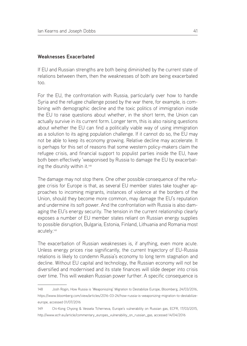#### **Weaknesses Exacerbated**

If EU and Russian strengths are both being diminished by the current state of relations between them, then the weaknesses of both are being exacerbated too.

For the EU, the confrontation with Russia, particularly over how to handle Syria and the refugee challenge posed by the war there, for example, is combining with demographic decline and the toxic politics of immigration inside the EU to raise questions about whether, in the short term, the Union can actually survive in its current form. Longer term, this is also raising questions about whether the EU can find a politically viable way of using immigration as a solution to its aging population challenge. If it cannot do so, the EU may not be able to keep its economy growing. Relative decline may accelerate. It is perhaps for this set of reasons that some western policy-makers claim the refugee crisis, and financial support to populist parties inside the EU, have both been effectively 'weaponised by Russia to damage the EU by exacerbating the disunity within it.<sup>148</sup>

The damage may not stop there. One other possible consequence of the refugee crisis for Europe is that, as several EU member states take tougher approaches to incoming migrants, instances of violence at the borders of the Union, should they become more common, may damage the EU's reputation and undermine its soft power. And the confrontation with Russia is also damaging the EU's energy security. The tension in the current relationship clearly exposes a number of EU member states reliant on Russian energy supplies to possible disruption, Bulgaria, Estonia, Finland, Lithuania and Romania most acutely.149

The exacerbation of Russian weaknesses is, if anything, even more acute. Unless energy prices rise significantly, the current trajectory of EU-Russia relations is likely to condemn Russia's economy to long term stagnation and decline. Without EU capital and technology, the Russian economy will not be diversified and modernised and its state finances will slide deeper into crisis over time. This will weaken Russian power further. A specific consequence is

<sup>148</sup> Josh Rogin, How Russia is 'Weaponiszing' Migration to Destabilize Europe, Bloomberg, 24/03/2016, https://www.bloomberg.com/view/articles/2016-03-24/how-russia-is-weaponizing-migration-to-destabilizeeurope, accessed 01/07/2016

<sup>149</sup> Chi-Kong Chyong & Vessela Tcherneva, Europe's vulnerability on Russian gas, ECFR, 17/03/2015, http://www.ecfr.eu/article/commentary\_europes\_vulnerability\_on\_russian\_gas, accessed 14/04/2016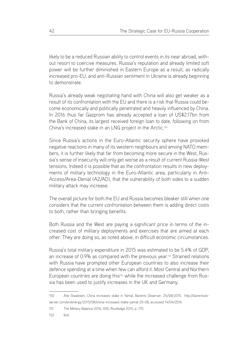likely to be a reduced Russian ability to control events in its near abroad, without resort to coercive measures. Russia's reputation and already limited soft power will be further diminished in Eastern Europe as a result, as radically increased pro-EU, and anti-Russian sentiment in Ukraine is already beginning to demonstrate.

Russia's already weak negotiating hand with China will also get weaker as a result of its confrontation with the EU and there is a risk that Russia could become economically and politically penetrated and heavily influenced by China. In 2016 thus far Gazprom has already accepted a loan of US\$2.17bn from the Bank of China, its largest received foreign loan to date, following on from China's increased stake in an LNG project in the Arctic.150

Since Russia's actions in the Euro-Atlantic security sphere have provoked negative reactions in many of its western neighbours and among NATO members, it is further likely that far from becoming more secure in the West, Russia's sense of insecurity will only get worse as a result of current Russia-West tensions. Indeed it is possible that as the confrontation results in new deployments of military technology in the Euro-Atlantic area, particularly in Anti-Access/Area-Denial (A2/AD), that the vulnerability of both sides to a sudden military attack may increase.

The overall picture for both the EU and Russia becomes bleaker still when one considers that the current confrontation between them is adding direct costs to both, rather than bringing benefits.

Both Russia and the West are paying a significant price in terms of the increased cost of military deployments and exercises that are aimed at each other. They are doing so, as noted above, in difficult economic circumstances.

Russia's total military expenditure in 2015 was estimated to be 5.4% of GDP, an increase of 0.9% as compared with the previous year.151 Strained relations with Russia have prompted other European countries to also increase their defence spending at a time when few can afford it. Most Central and Northern European countries are doing this<sup>152</sup> while the increased challenge from Russia has been used to justify increases in the UK and Germany.

<sup>150</sup> Atle Staalesen, China increases stake in Yamal, Barents Observer, 25/08/2015, http://barentsobserver.com/en/energy/2015/08/china-increases-stake-yamal-25-08, accessed 14/04/2016

<sup>151</sup> The Military Balance 2016, IISS, Routledge 2015, p. 170.

<sup>152</sup> Ibid.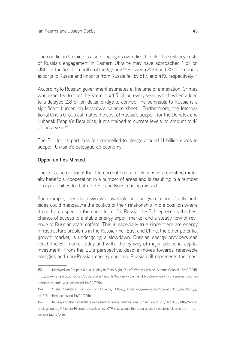The conflict in Ukraine is also bringing its own direct costs. The military costs of Russia's engagement in Eastern Ukraine may have approached 1 billion USD for the first 10 months of the fighting.<sup>153</sup> Between 2014 and 2015 Ukraine's exports to Russia and imports from Russia fell by 51% and 41% respectively.154

According to Russian government estimates at the time of annexation, Crimea was expected to cost the Kremlin \$4.5 billion every year, which when added to a delayed 2.8 billion dollar bridge to connect the peninsula to Russia is a significant burden on Moscow's balance sheet. Furthermore, the International Crisis Group estimates the cost of Russia's support for the Donetsk and Luhansk People's Republics, if maintained at current levels, to amount to \$1 billion a year.<sup>155</sup>

The EU, for its part, has felt compelled to pledge around 11 billion euros to support Ukraine's beleaguered economy.

## **Opportunities Missed**

There is also no doubt that the current crisis in relations is preventing mutually beneficial cooperation in a number of areas and is resulting in a number of opportunities for both the EU and Russia being missed.

For example, there is a win-win available on energy relations if only both sides could manoeuvre the politics of their relationship into a position where it can be grasped. In the short term, for Russia, the EU represents the best chance of access to a stable energy export market and a steady flow of revenue to Russian state coffers. This is especially true since there are energy infrastructure problems in the Russian Far East and China, the other potential growth market, is undergoing a slowdown. Russian energy providers can reach the EU market today and with little by way of major additional capital investment. From the EU's perspective, despite moves towards renewable energies and non-Russian energy sources, Russia still represents the most

<sup>153</sup> Maksymilian Czuperski et al, Hiding in Plain Sight: Putin's War in Ukraine, Atlantic Council, 15/10/2015, http://www.atlanticcouncil.org/publications/reports/hiding-in-plain-sight-putin-s-war-in-ukraine-and-borisnemtsov-s-putin-war, accessed 14/04/2016

<sup>154</sup> State Statistics Service of Ukraine, https://ukrstat.org/en/operativ/operativ2015/zd/ztt/ztt\_e/ ztt1215\_e.htm, accessed 14/04/2016

<sup>155</sup> Russia and the Separatists in Eastern Ukraine, International Crisis Group, 05/02/2016, http://www. crisisgroup.org/~/media/Files/europe/ukraine/b079-russia-and-the-separatists-in-eastern-ukraine.pdf, accessed 14/04/2016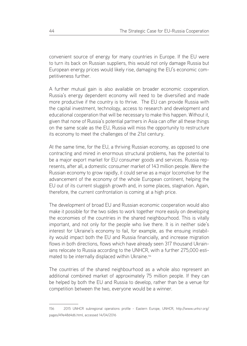convenient source of energy for many countries in Europe. If the EU were to turn its back on Russian suppliers, this would not only damage Russia but European energy prices would likely rise, damaging the EU's economic competitiveness further.

A further mutual gain is also available on broader economic cooperation. Russia's energy dependent economy will need to be diversified and made more productive if the country is to thrive. The EU can provide Russia with the capital investment, technology, access to research and development and educational cooperation that will be necessary to make this happen. Without it, given that none of Russia's potential partners in Asia can offer all these things on the same scale as the EU, Russia will miss the opportunity to restructure its economy to meet the challenges of the 21st century.

At the same time, for the EU, a thriving Russian economy, as opposed to one contracting and mired in enormous structural problems, has the potential to be a major export market for EU consumer goods and services. Russia represents, after all, a domestic consumer market of 143 million people. Were the Russian economy to grow rapidly, it could serve as a major locomotive for the advancement of the economy of the whole European continent, helping the EU out of its current sluggish growth and, in some places, stagnation. Again, therefore, the current confrontation is coming at a high price.

The development of broad EU and Russian economic cooperation would also make it possible for the two sides to work together more easily on developing the economies of the countries in the shared neighbourhood. This is vitally important, and not only for the people who live there. It is in neither side's interest for Ukraine's economy to fail, for example, as the ensuing instability would impact both the EU and Russia financially, and increase migration flows in both directions, flows which have already seen 317 thousand Ukrainians relocate to Russia according to the UNHCR, with a further 275,000 estimated to be internally displaced within Ukraine.<sup>156</sup>

The countries of the shared neighbourhood as a whole also represent an additional combined market of approximately 75 million people. If they can be helped by both the EU and Russia to develop, rather than be a venue for competition between the two, everyone would be a winner.

<sup>156</sup> 2015 UNHCR subregional operations profile - Eastern Europe, UNHCR, http://www.unhcr.org/ pages/49e48d4d6.html, accessed 14/04/2016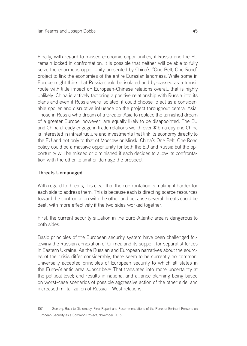Finally, with regard to missed economic opportunities, if Russia and the EU remain locked in confrontation, it is possible that neither will be able to fully seize the enormous opportunity presented by China's "One Belt, One Road" project to link the economies of the entire Eurasian landmass. While some in Europe might think that Russia could be isolated and by-passed as a transit route with little impact on European-Chinese relations overall, that is highly unlikely. China is actively factoring a positive relationship with Russia into its plans and even if Russia were isolated, it could choose to act as a considerable spoiler and disruptive influence on the project throughout central Asia. Those in Russia who dream of a Greater Asia to replace the tarnished dream of a greater Europe, however, are equally likely to be disappointed. The EU and China already engage in trade relations worth over \$1bn a day and China is interested in infrastructure and investments that link its economy directly to the EU and not only to that of Moscow or Minsk. China's One Belt, One Road policy could be a massive opportunity for both the EU and Russia but the opportunity will be missed or diminished if each decides to allow its confrontation with the other to limit or damage the prospect.

## **Threats Unmanaged**

With regard to threats, it is clear that the confrontation is making it harder for each side to address them. This is because each is directing scarce resources toward the confrontation with the other and because several threats could be dealt with more effectively if the two sides worked together.

First, the current security situation in the Euro-Atlantic area is dangerous to both sides.

Basic principles of the European security system have been challenged following the Russian annexation of Crimea and its support for separatist forces in Eastern Ukraine. As the Russian and European narratives about the sources of the crisis differ considerably, there seem to be currently no common, universally accepted principles of European security to which all states in the Euro-Atlantic area subscribe.157 That translates into more uncertainty at the political level; and results in national and alliance planning being based on worst-case scenarios of possible aggressive action of the other side, and increased militarization of Russia – West relations.

<sup>157</sup> See e.g. Back to Diplomacy, Final Report and Recommendations of the Panel of Eminent Persons on European Security as a Common Project, November 2015.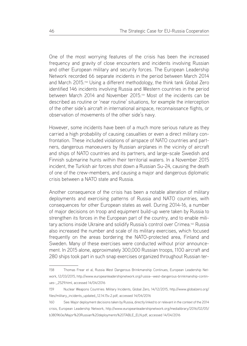One of the most worrying features of the crisis has been the increased frequency and gravity of close encounters and incidents involving Russian and other European military and security forces. The European Leadership Network recorded 66 separate incidents in the period between March 2014 and March 2015.158 Using a different methodology, the think tank Global Zero identified 146 incidents involving Russia and Western countries in the period between March 2014 and November 2015.159 Most of the incidents can be described as routine or 'near routine' situations, for example the interception of the other side's aircraft in international airspace, reconnaissance flights, or observation of movements of the other side's navy.

However, some incidents have been of a much more serious nature as they carried a high probability of causing casualties or even a direct military confrontation. These included violations of airspace of NATO countries and partners, dangerous manoeuvers by Russian airplanes in the vicinity of aircraft and ships of NATO countries and its partners, and large-scale Swedish and Finnish submarine hunts within their territorial waters. In a November 2015 incident, the Turkish air forces shot down a Russian Su-24, causing the death of one of the crew-members, and causing a major and dangerous diplomatic crisis between a NATO state and Russia.

Another consequence of the crisis has been a notable alteration of military deployments and exercising patterns of Russia and NATO countries, with consequences for other European states as well. During 2014-16, a number of major decisions on troop and equipment build-up were taken by Russia to strengthen its forces in the European part of the country, and to enable military actions inside Ukraine and solidify Russia's control over Crimea.160 Russia also increased the number and scale of its military exercises, which focused frequently on the areas bordering the NATO-protected area, Finland and Sweden. Many of these exercises were conducted without prior announcement. In 2015 alone, approximately 300,000 Russian troops, 1100 aircraft and 280 ships took part in such snap exercises organized throughout Russian ter-

<sup>158</sup> Thomas Frear et al, Russia West Dangerous Brinkmanship Continues, European Leadership Network, 12/03/2015, http://www.europeanleadershipnetwork.org/russia--west-dangerous-brinkmanship-continues-\_2529.html, accessed 14/04/2016

<sup>159</sup> Nuclear Weapons Countries: Military Incidents, Global Zero, 14/12/2015, http://www.globalzero.org/ files/military\_incidents\_updated\_12.14.15v.2.pdf, accessed 14/04/2016

<sup>160</sup> See: Major deployment decisions taken by Russia, directly linked to or relevant in the context of the 2014 crisis, European Leadership Network, http://www.europeanleadershipnetwork.org/medialibrary/2016/02/05/ b380960e/Major%20Russian%20deployments%20TABLE\_ELN.pdf, accessed 14/04/2016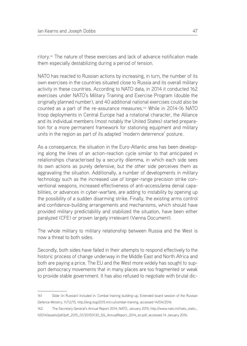ritory.161 The nature of these exercises and lack of advance notification made them especially destabilizing during a period of tension.

NATO has reacted to Russian actions by increasing, in turn, the number of its own exercises in the countries situated close to Russia and its overall military activity in these countries. According to NATO data, in 2014 it conducted 162 exercises under NATO's Military Training and Exercise Program (double the originally planned number), and 40 additional national exercises could also be counted as a part of the re-assurance measures.162 While in 2014-16 NATO troop deployments in Central Europe had a rotational character, the Alliance and its individual members (most notably the United States) started preparation for a more permanent framework for stationing equipment and military units in the region as part of its adapted 'modern deterrence' posture.

As a consequence, the situation in the Euro-Atlantic area has been developing along the lines of an action-reaction cycle similar to that anticipated in relationships characterised by a security dilemma, in which each side sees its own actions as purely defensive, but the other side perceives them as aggravating the situation. Additionally, a number of developments in military technology such as the increased use of longer-range precision strike conventional weapons, increased effectiveness of anti-access/area denial capabilities, or advances in cyber-warfare, are adding to instability by opening up the possibility of a sudden disarming strike. Finally, the existing arms control and confidence-building arrangements and mechanisms, which should have provided military predictability and stabilized the situation, have been either paralyzed (CFE) or proven largely irrelevant (Vienna Document).

The whole military to military relationship between Russia and the West is now a threat to both sides.

Secondly, both sides have failed in their attempts to respond effectively to the historic process of change underway in the Middle East and North Africa and both are paying a price. The EU and the West more widely has sought to support democracy movements that in many places are too fragmented or weak to provide stable government. It has also refused to negotiate with brutal dic-

<sup>161</sup> Slide (in Russian) included in: Combat training building-up, Extended board session of the Russian Defence Ministry, 11/12/15, http://eng.itogi2015.mil.ru/combat-training, accessed 14/04/2016

<sup>162</sup> The Secretary General's Annual Report 2014, NATO, January 2015, http://www.nato.int/nato\_static\_ fl2014/assets/pdf/pdf\_2015\_01/20150130\_SG\_AnnualReport\_2014\_en.pdf, accessed 14 January 2016.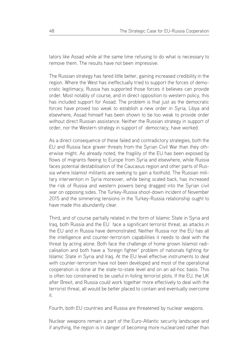tators like Assad while at the same time refusing to do what is necessary to remove them. The results have not been impressive.

The Russian strategy has fared little better, gaining increased credibility in the region. Where the West has ineffectually tried to support the forces of democratic legitimacy, Russia has supported those forces it believes can provide order. Most notably of course, and in direct opposition to western policy, this has included support for Assad. The problem is that just as the democratic forces have proved too weak to establish a new order in Syria, Libya and elsewhere, Assad himself has been shown to be too weak to provide order without direct Russian assistance. Neither the Russian strategy in support of order, nor the Western strategy in support of democracy, have worked.

As a direct consequence of these failed and contradictory strategies, both the EU and Russia face graver threats from the Syrian Civil War than they otherwise might. As already noted, the fragility of the EU has been exposed by flows of migrants fleeing to Europe from Syria and elsewhere, while Russia faces potential destabilisation of the Caucasus region and other parts of Russia where Islamist militants are seeking to gain a foothold. The Russian military intervention in Syria moreover, while being scaled back, has increased the risk of Russia and western powers being dragged into the Syrian civil war on opposing sides. The Turkey-Russia shoot-down incident of November 2015 and the simmering tensions in the Turkey-Russia relationship ought to have made this abundantly clear.

Third, and of course partially related in the form of Islamic State in Syria and Iraq, both Russia and the EU face a significant terrorist threat, as attacks in the EU and in Russia have demonstrated. Neither Russia nor the EU has all the intelligence and counter-terrorism capabilities it needs to deal with the threat by acting alone. Both face the challenge of home grown Islamist radicalisation and both have a 'foreign fighter' problem of nationals fighting for Islamic State in Syria and Iraq. At the EU level effective instruments to deal with counter-terrorism have not been developed and most of the operational cooperation is done at the state-to-state level and on an ad-hoc basis. This is often too constrained to be useful in foiling terrorist plots. If the EU, the UK after Brexit, and Russia could work together more effectively to deal with the terrorist threat, all would be better placed to contain and eventually overcome it.

Fourth, both EU countries and Russia are threatened by nuclear weapons.

Nuclear weapons remain a part of the Euro-Atlantic security landscape and if anything, the region is in danger of becoming more nuclearized rather than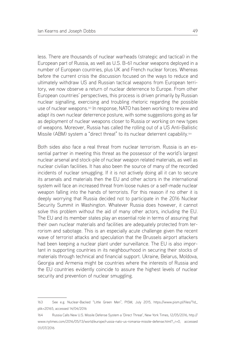less. There are thousands of nuclear warheads (strategic and tactical) in the European part of Russia, as well as U.S. B-61 nuclear weapons deployed in a number of European countries, plus UK and French nuclear forces. Whereas before the current crisis the discussion focused on the ways to reduce and ultimately withdraw US and Russian tactical weapons from European territory, we now observe a return of nuclear deterrence to Europe. From other European countries' perspectives, this process is driven primarily by Russian nuclear signalling, exercising and troubling rhetoric regarding the possible use of nuclear weapons.<sup>163</sup> In response, NATO has been working to review and adapt its own nuclear deterrence posture, with some suggestions going as far as deployment of nuclear weapons closer to Russia or working on new types of weapons. Moreover, Russia has called the rolling out of a US Anti-Ballistic Missile (ABM) system a "direct threat" to its nuclear deterrent capability.164

Both sides also face a real threat from nuclear terrorism. Russia is an essential partner in meeting this threat as the possessor of the world's largest nuclear arsenal and stock-pile of nuclear weapon related materials, as well as nuclear civilian facilities. It has also been the source of many of the recorded incidents of nuclear smuggling. If it is not actively doing all it can to secure its arsenals and materials then the EU and other actors in the international system will face an increased threat from loose nukes or a self-made nuclear weapon falling into the hands of terrorists. For this reason if no other it is deeply worrying that Russia decided not to participate in the 2016 Nuclear Security Summit in Washington. Whatever Russia does however, it cannot solve this problem without the aid of many other actors, including the EU. The EU and its member states play an essential role in terms of assuring that their own nuclear materials and facilities are adequately protected from terrorism and sabotage. This is an especially acute challenge given the recent wave of terrorist attacks and speculation that the Brussels airport attackers had been keeping a nuclear plant under surveillance. The EU is also important in supporting countries in its neighbourhood in securing their stocks of materials through technical and financial support. Ukraine, Belarus, Moldova, Georgia and Armenia might be countries where the interests of Russia and the EU countries evidently coincide to assure the highest levels of nuclear security and prevention of nuclear smuggling.

<sup>163</sup> See e.g. Nuclear-Backed "Little Green Men", PISM, July 2015, https://www.pism.pl/files/?id\_ plik=20165, accessed 14/04/2016

<sup>164</sup> Russia Calls New U.S. Missile Defense System a 'Direct Threat', New York Times, 12/05/2016, http:// www.nytimes.com/2016/05/13/world/europe/russia-nato-us-romania-missile-defense.html?\_r=0, accessed 01/07/2016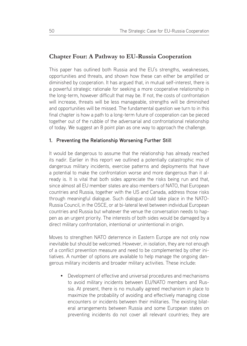# **Chapter Four: A Pathway to EU-Russia Cooperation**

This paper has outlined both Russia and the EU's strengths, weaknesses, opportunities and threats, and shown how these can either be amplified or diminished by cooperation. It has argued that, in mutual self-interest, there is a powerful strategic rationale for seeking a more cooperative relationship in the long-term, however difficult that may be. If not, the costs of confrontation will increase, threats will be less manageable, strengths will be diminished and opportunities will be missed. The fundamental question we turn to in this final chapter is how a path to a long-term future of cooperation can be pieced together out of the rubble of the adversarial and confrontational relationship of today. We suggest an 8 point plan as one way to approach the challenge.

### **1. Preventing the Relationship Worsening Further Still**

It would be dangerous to assume that the relationship has already reached its nadir. Earlier in this report we outlined a potentially catastrophic mix of dangerous military incidents, exercise patterns and deployments that have a potential to make the confrontation worse and more dangerous than it already is. It is vital that both sides appreciate the risks being run and that, since almost all EU member states are also members of NATO, that European countries and Russia, together with the US and Canada, address those risks through meaningful dialogue. Such dialogue could take place in the NATO-Russia Council, in the OSCE, or at bi-lateral level between individual European countries and Russia but whatever the venue the conversation needs to happen as an urgent priority. The interests of both sides would be damaged by a direct military confrontation, intentional or unintentional in origin.

Moves to strengthen NATO deterrence in Eastern Europe are not only now inevitable but should be welcomed. However, in isolation, they are not enough of a conflict prevention measure and need to be complemented by other initiatives. A number of options are available to help manage the ongoing dangerous military incidents and broader military activities. These include:

• Development of effective and universal procedures and mechanisms to avoid military incidents between EU/NATO members and Russia. At present, there is no mutually agreed mechanism in place to maximize the probability of avoiding and effectively managing close encounters or incidents between their militaries. The existing bilateral arrangements between Russia and some European states on preventing incidents do not cover all relevant countries; they are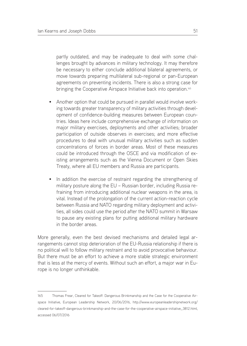partly outdated, and may be inadequate to deal with some challenges brought by advances in military technology. It may therefore be necessary to either conclude additional bilateral agreements, or move towards preparing multilateral sub-regional or pan-European agreements on preventing incidents. There is also a strong case for bringing the Cooperative Airspace Initiative back into operation.<sup>165</sup>

- Another option that could be pursued in parallel would involve working towards greater transparency of military activities through development of confidence-building measures between European countries. Ideas here include comprehensive exchange of information on major military exercises, deployments and other activities; broader participation of outside observes in exercises; and more effective procedures to deal with unusual military activities such as sudden concentrations of forces in border areas. Most of these measures could be introduced through the OSCE and via modification of existing arrangements such as the Vienna Document or Open Skies Treaty, where all EU members and Russia are participants.
- In addition the exercise of restraint regarding the strengthening of military posture along the EU – Russian border, including Russia refraining from introducing additional nuclear weapons in the area, is vital. Instead of the prolongation of the current action-reaction cycle between Russia and NATO regarding military deployment and activities, all sides could use the period after the NATO summit in Warsaw to pause any existing plans for putting additional military hardware in the border areas.

More generally, even the best devised mechanisms and detailed legal arrangements cannot stop deterioration of the EU-Russia relationship if there is no political will to follow military restraint and to avoid provocative behaviour. But there must be an effort to achieve a more stable strategic environment that is less at the mercy of events. Without such an effort, a major war in Europe is no longer unthinkable.

<sup>165</sup> Thomas Frear, Cleared for Takeoff: Dangerous Brinkmanship and the Case for the Cooperative Airspace Initiative, European Leadership Network, 20/06/2016, http://www.europeanleadershipnetwork.org/ cleared-for-takeoff-dangerous-brinkmanship-and-the-case-for-the-cooperative-airspace-initiative\_3812.html, accessed 06/07/2016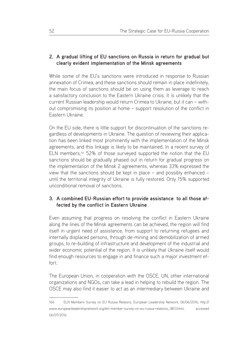## **2. A gradual lifting of EU sanctions on Russia in return for gradual but clearly evident implementation of the Minsk agreements**

While some of the EU's sanctions were introduced in response to Russian annexation of Crimea, and these sanctions should remain in place indefinitely, the main focus of sanctions should be on using them as leverage to reach a satisfactory conclusion to the Eastern Ukraine crisis. It is unlikely that the current Russian leadership would return Crimea to Ukraine, but it can – without compromising its position at home – support resolution of the conflict in Eastern Ukraine.

On the EU side, there is little support for discontinuation of the sanctions regardless of developments in Ukraine. The question of reviewing their application has been linked most prominently with the implementation of the Minsk agreements, and this linkage is likely to be maintained. In a recent survey of ELN members,<sup>166</sup> 52% of those surveyed supported the notion that the EU sanctions should be gradually phased out in return for gradual progress on the implementation of the Minsk 2 agreements, whereas 33% expressed the view that the sanctions should be kept in place – and possibly enhanced – until the territorial integrity of Ukraine is fully restored. Only 15% supported unconditional removal of sanctions.

# **3. A combined EU-Russian effort to provide assistance to all those affected by the conflict in Eastern Ukraine**

Even assuming that progress on resolving the conflict in Eastern Ukraine along the lines of the Minsk agreements can be achieved, the region will find itself in urgent need of assistance, from support to returning refugees and internally displaced persons, through de-mining and demobilization of armed groups, to re-building of infrastructure and development of the industrial and wider economic potential of the region. It is unlikely that Ukraine itself would find enough resources to engage in and finance such a major investment effort.

The European Union, in cooperation with the OSCE, UN, other international organizations and NGOs, can take a lead in helping to rebuild the region. The OSCE may also find it easier to act as an intermediary between Ukraine and

<sup>166</sup> ELN Members Survey on EU Russia Relaions, European Leadership Network, 06/06/2016, http:// www.europeanleadershipnetwork.org/eln-member-survey-on-eu-russia-relations\_3813.html, accessed 06/07/2016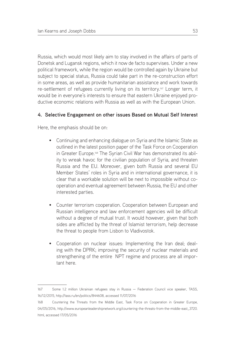Russia, which would most likely aim to stay involved in the affairs of parts of Donetsk and Lugansk regions, which it now de facto supervises. Under a new political framework, while the region would be controlled again by Ukraine but subject to special status, Russia could take part in the re-construction effort in some areas, as well as provide humanitarian assistance and work towards re-settlement of refugees currently living on its territory.<sup>167</sup> Longer term, it would be in everyone's interests to ensure that eastern Ukraine enjoyed productive economic relations with Russia as well as with the European Union.

## **4. Selective Engagement on other issues Based on Mutual Self Interest**

Here, the emphasis should be on:

- Continuing and enhancing dialogue on Syria and the Islamic State as outlined in the latest position paper of the Task Force on Cooperation in Greater Europe.<sup>168</sup> The Syrian Civil War has demonstrated its ability to wreak havoc for the civilian population of Syria, and threaten Russia and the EU. Moreover, given both Russia and several EU Member States' roles in Syria and in international governance, it is clear that a workable solution will be next to impossible without cooperation and eventual agreement between Russia, the EU and other interested parties.
- Counter terrorism cooperation. Cooperation between European and Russian intelligence and law enforcement agencies will be difficult without a degree of mutual trust. It would however, given that both sides are afflicted by the threat of Islamist terrorism, help decrease the threat to people from Lisbon to Vladivostok.
- Cooperation on nuclear issues: Implementing the Iran deal; dealing with the DPRK; improving the security of nuclear materials and strengthening of the entire NPT regime and process are all important here.

<sup>167</sup> Some 1.2 million Ukrainian refugees stay in Russia — Federation Council vice speaker, TASS, 16/12/2015, http://tass.ru/en/politics/844608, accessed 11/07/2016

<sup>168</sup> Countering the Threats from the Middle East, Task Force on Cooperation in Greater Europe, 04/05/2016, http://www.europeanleadershipnetwork.org/countering-the-threats-from-the-middle-east\_3720. html, accessed 17/05/2016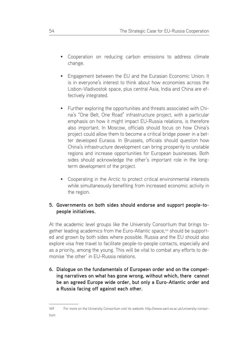- Cooperation on reducing carbon emissions to address climate change.
- Engagement between the EU and the Eurasian Economic Union: It is in everyone's interest to think about how economies across the Lisbon-Vladivostok space, plus central Asia, India and China are effectively integrated.
- Further exploring the opportunities and threats associated with China's "One Belt, One Road" infrastructure project, with a particular emphasis on how it might impact EU-Russia relations, is therefore also important. In Moscow, officials should focus on how China's project could allow them to become a critical bridge power in a better developed Eurasia. In Brussels, officials should question how China's infrastructure development can bring prosperity to unstable regions and increase opportunities for European businesses. Both sides should acknowledge the other's important role in the longterm development of the project.
- Cooperating in the Arctic to protect critical environmental interests while simultaneously benefiting from increased economic activity in the region.

## **5. Governments on both sides should endorse and support people-topeople initiatives.**

At the academic level groups like the University Consortium that brings together leading academics from the Euro-Atlantic space,169 should be supported and grown by both sides where possible. Russia and the EU should also explore visa free travel to facilitate people-to-people contacts, especially and as a priority, among the young. This will be vital to combat any efforts to demonise 'the other' in EU-Russia relations.

**6. Dialogue on the fundamentals of European order and on the competing narratives on what has gone wrong, without which, there cannot be an agreed Europe wide order, but only a Euro-Atlantic order and a Russia facing off against each other.**

<sup>169</sup> For more on the University Consortium visit its website: http://www.sant.ox.ac.uk/university-consortium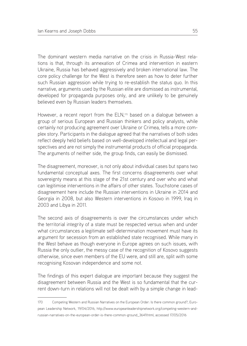The dominant western media narrative on the crisis in Russia-West relations is that, through its annexation of Crimea and intervention in eastern Ukraine, Russia has behaved aggressively and broken international law. The core policy challenge for the West is therefore seen as how to deter further such Russian aggression while trying to re-establish the status quo. In this narrative, arguments used by the Russian elite are dismissed as instrumental, developed for propaganda purposes only, and are unlikely to be genuinely believed even by Russian leaders themselves.

However, a recent report from the ELN,<sup>170</sup> based on a dialogue between a group of serious European and Russian thinkers and policy analysts, while certainly not producing agreement over Ukraine or Crimea, tells a more complex story. Participants in the dialogue agreed that the narratives of both sides reflect deeply held beliefs based on well-developed intellectual and legal perspectives and are not simply the instrumental products of official propaganda. The arguments of neither side, the group finds, can easily be dismissed.

The disagreement, moreover, is not only about individual cases but spans two fundamental conceptual axes. The first concerns disagreements over what sovereignty means at this stage of the 21st century and over who and what can legitimise interventions in the affairs of other states. Touchstone cases of disagreement here include the Russian interventions in Ukraine in 2014 and Georgia in 2008, but also Western interventions in Kosovo in 1999, Iraq in 2003 and Libya in 2011.

The second axis of disagreements is over the circumstances under which the territorial integrity of a state must be respected versus when and under what circumstances a legitimate self-determination movement must have its argument for secession from an established state recognised. While many in the West behave as though everyone in Europe agrees on such issues, with Russia the only outlier, the messy case of the recognition of Kosovo suggests otherwise, since even members of the EU were, and still are, split with some recognising Kosovan independence and some not.

The findings of this expert dialogue are important because they suggest the disagreement between Russia and the West is so fundamental that the current down-turn in relations will not be dealt with by a simple change in lead-

<sup>170</sup> Competing Western and Russian Narratives on the European Order: Is there common ground?, European Leadership Network, 19/04/2016, http://www.europeanleadershipnetwork.org/competing-western-andrussian-narratives-on-the-european-order-is-there-common-ground\_3649.html, accessed 17/05/2016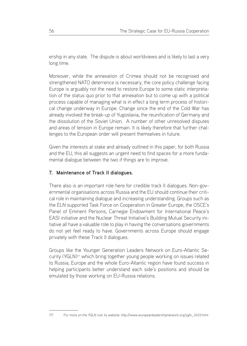ership in any state. The dispute is about worldviews and is likely to last a very long time.

Moreover, while the annexation of Crimea should not be recognised and strengthened NATO deterrence is necessary, the core policy challenge facing Europe is arguably not the need to restore Europe to some static interpretation of the status quo prior to that annexation but to come up with a political process capable of managing what is in effect a long term process of historical change underway in Europe. Change since the end of the Cold War has already involved the break-up of Yugoslavia, the reunification of Germany and the dissolution of the Soviet Union. A number of other unresolved disputes and areas of tension in Europe remain. It is likely therefore that further challenges to the European order will present themselves in future.

Given the interests at stake and already outlined in this paper, for both Russia and the EU, this all suggests an urgent need to find spaces for a more fundamental dialogue between the two if things are to improve.

## **7. Maintenance of Track II dialogues.**

There also is an important role here for credible track II dialogues. Non-governmental organisations across Russia and the EU should continue their critical role in maintaining dialogue and increasing understanding. Groups such as the ELN supported Task Force on Cooperation in Greater Europe, the OSCE's Panel of Eminent Persons, Carnegie Endowment for International Peace's EASI initiative and the Nuclear Threat Initiative's Building Mutual Security initiative all have a valuable role to play in having the conversations governments do not yet feel ready to have. Governments across Europe should engage privately with these Track II dialogues.

Groups like the Younger Generation Leaders Network on Euro-Atlantic Security (YGLN)171 which bring together young people working on issues related to Russia, Europe and the whole Euro-Atlantic region have found success in helping participants better understand each side's positions and should be emulated by those working on EU-Russia relations.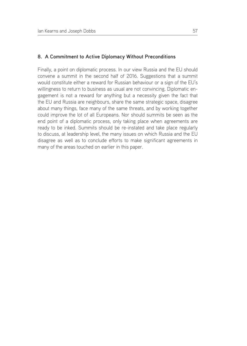Finally, a point on diplomatic process. In our view Russia and the EU should convene a summit in the second half of 2016. Suggestions that a summit would constitute either a reward for Russian behaviour or a sign of the EU's willingness to return to business as usual are not convincing. Diplomatic engagement is not a reward for anything but a necessity given the fact that the EU and Russia are neighbours, share the same strategic space, disagree about many things, face many of the same threats, and by working together could improve the lot of all Europeans. Nor should summits be seen as the end point of a diplomatic process, only taking place when agreements are ready to be inked. Summits should be re-instated and take place regularly to discuss, at leadership level, the many issues on which Russia and the EU disagree as well as to conclude efforts to make significant agreements in many of the areas touched on earlier in this paper.